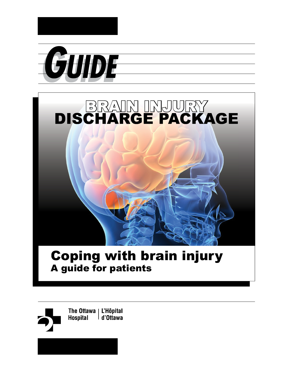





# Coping with brain injury A guide for patients

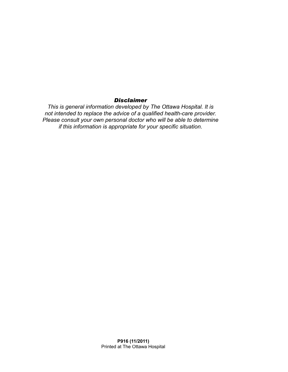#### *Disclaimer*

*This is general information developed by The Ottawa Hospital. It is not intended to replace the advice of a qualified health-care provider. Please consult your own personal doctor who will be able to determine if this information is appropriate for your specific situation.*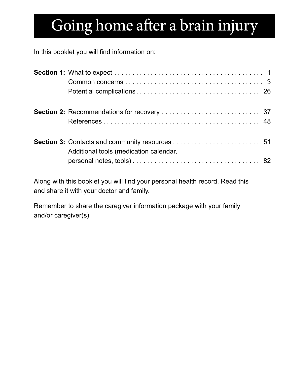# Going home after a brain injury

In this booklet you will find information on:

| Additional tools (medication calendar, |  |
|----------------------------------------|--|

Along with this booklet you will f nd your personal health record. Read this and share it with your doctor and family.

Remember to share the caregiver information package with your family and/or caregiver(s).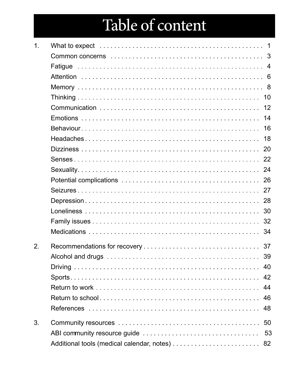# Table of content

| $\mathbf 1$ . | $\overline{\mathbf{1}}$ |
|---------------|-------------------------|
|               |                         |
|               |                         |
|               |                         |
|               |                         |
|               |                         |
|               | 12                      |
|               | 14                      |
|               | 16                      |
|               | 18                      |
|               |                         |
|               |                         |
|               |                         |
|               |                         |
|               |                         |
|               |                         |
|               |                         |
|               |                         |
|               | 34                      |
| 2.            |                         |
|               | 39                      |
|               |                         |
|               |                         |
|               | 44                      |
|               | 46                      |
|               | 48                      |
| 3.            |                         |
|               |                         |
|               |                         |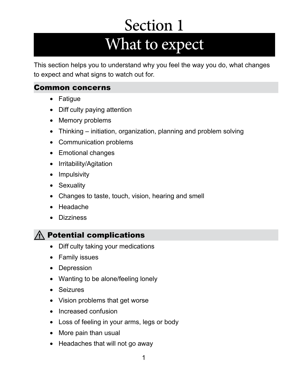# Section 1 What to expect

<span id="page-4-0"></span>This section helps you to understand why you feel the way you do, what changes to expect and what signs to watch out for.

#### Common concerns

- Fatigue
- Diff culty paying attention
- Memory problems
- Thinking initiation, organization, planning and problem solving
- Communication problems
- Emotional changes
- Irritability/Agitation
- Impulsivity
- Sexuality
- Changes to taste, touch, vision, hearing and smell
- Headache
- Dizziness

#### $\wedge$  Potential complications

- Diff culty taking your medications
- Family issues
- Depression
- Wanting to be alone/feeling lonely
- Seizures
- Vision problems that get worse
- Increased confusion
- Loss of feeling in your arms, legs or body
- More pain than usual
- Headaches that will not go away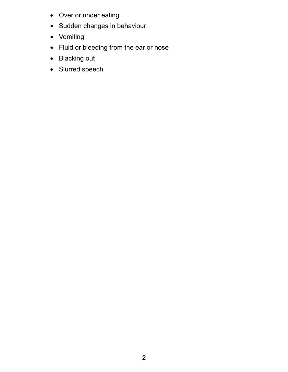- Over or under eating
- Sudden changes in behaviour
- Vomiting
- Fluid or bleeding from the ear or nose
- Blacking out
- Slurred speech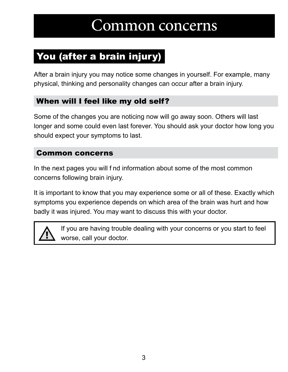# Common concerns

# <span id="page-6-0"></span>You (after a brain injury)

After a brain injury you may notice some changes in yourself. For example, many physical, thinking and personality changes can occur after a brain injury.

#### When will I feel like my old self?

Some of the changes you are noticing now will go away soon. Others will last longer and some could even last forever. You should ask your doctor how long you should expect your symptoms to last.

#### Common concerns

In the next pages you will f nd information about some of the most common concerns following brain injury.

It is important to know that you may experience some or all of these. Exactly which symptoms you experience depends on which area of the brain was hurt and how badly it was injured. You may want to discuss this with your doctor.



If you are having trouble dealing with your concerns or you start to feel worse, call your doctor.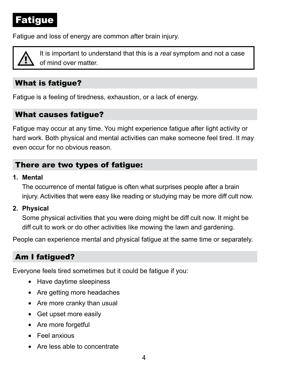# <span id="page-7-0"></span>Fatigue

Fatigue and loss of energy are common after brain injury.



*l* It is important to understand that this is a *real* symptom and not a case of mind over matter.

#### What is fatigue?

Fatigue is a feeling of tiredness, exhaustion, or a lack of energy.

#### What causes fatigue?

Fatigue may occur at any time. You might experience fatigue after light activity or hard work. Both physical and mental activities can make someone feel tired. It may even occur for no obvious reason.

#### There are two types of fatigue:

#### **1. Mental**

The occurrence of mental fatigue is often what surprises people after a brain injury. Activities that were easy like reading or studying may be more diff cult now.

**2. Physical** 

Some physical activities that you were doing might be diff cult now. It might be diff cult to work or do other activities like mowing the lawn and gardening.

People can experience mental and physical fatigue at the same time or separately.

#### Am I fatigued?

Everyone feels tired sometimes but it could be fatigue if you:

- Have daytime sleepiness
- Are getting more headaches
- Are more cranky than usual
- Get upset more easily
- Are more forgetful
- Feel anxious
- Are less able to concentrate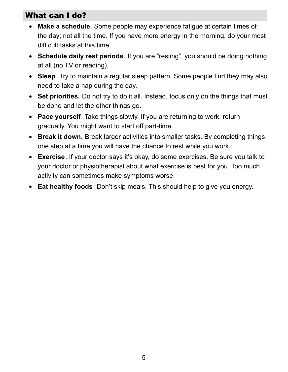#### What can I do?

- **Make a schedule.** Some people may experience fatigue at certain times of the day; not all the time. If you have more energy in the morning, do your most diff cult tasks at this time.
- **Schedule daily rest periods**. If you are "resting", you should be doing nothing at all (no TV or reading).
- **Sleep**. Try to maintain a regular sleep pattern. Some people f nd they may also need to take a nap during the day.
- **Set priorities.** Do not try to do it all. Instead, focus only on the things that must be done and let the other things go.
- **Pace yourself**. Take things slowly. If you are returning to work, return gradually. You might want to start off part-time.
- **Break it down.** Break larger activities into smaller tasks. By completing things one step at a time you will have the chance to rest while you work.
- **Exercise**. If your doctor says it's okay, do some exercises. Be sure you talk to your doctor or physiotherapist about what exercise is best for you. Too much activity can sometimes make symptoms worse.
- **Eat healthy foods**. Don't skip meals. This should help to give you energy.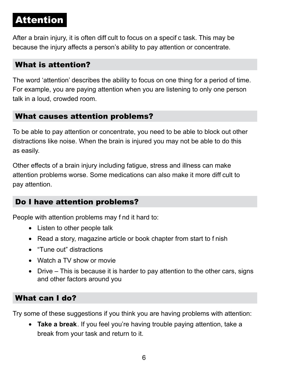# <span id="page-9-0"></span>Attention

After a brain injury, it is often diff cult to focus on a specif c task. This may be because the injury affects a person's ability to pay attention or concentrate.

#### What is attention?

The word 'attention' describes the ability to focus on one thing for a period of time. For example, you are paying attention when you are listening to only one person talk in a loud, crowded room.

#### What causes attention problems?

To be able to pay attention or concentrate, you need to be able to block out other distractions like noise. When the brain is injured you may not be able to do this as easily.

Other effects of a brain injury including fatigue, stress and illness can make attention problems worse. Some medications can also make it more diff cult to pay attention.

#### Do I have attention problems?

People with attention problems may f nd it hard to:

- Listen to other people talk
- Read a story, magazine article or book chapter from start to f nish
- "Tune out" distractions
- Watch a TV show or movie
- Drive This is because it is harder to pay attention to the other cars, signs and other factors around you

#### What can I do?

Try some of these suggestions if you think you are having problems with attention:

• **Take a break**. If you feel you're having trouble paying attention, take a break from your task and return to it.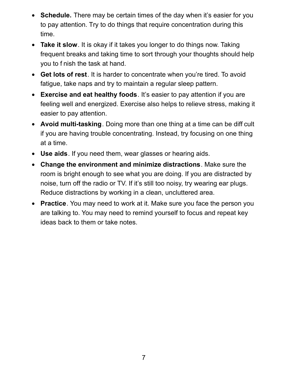- **Schedule.** There may be certain times of the day when it's easier for you to pay attention. Try to do things that require concentration during this time.
- **Take it slow**. It is okay if it takes you longer to do things now. Taking frequent breaks and taking time to sort through your thoughts should help you to f nish the task at hand.
- **Get lots of rest**. It is harder to concentrate when you're tired. To avoid fatigue, take naps and try to maintain a regular sleep pattern.
- **Exercise and eat healthy foods**. It's easier to pay attention if you are feeling well and energized. Exercise also helps to relieve stress, making it easier to pay attention.
- **Avoid multi-tasking**. Doing more than one thing at a time can be diff cult if you are having trouble concentrating. Instead, try focusing on one thing at a time.
- **Use aids**. If you need them, wear glasses or hearing aids.
- **Change the environment and minimize distractions**. Make sure the room is bright enough to see what you are doing. If you are distracted by noise, turn off the radio or TV. If it's still too noisy, try wearing ear plugs. Reduce distractions by working in a clean, uncluttered area.
- **Practice**. You may need to work at it. Make sure you face the person you are talking to. You may need to remind yourself to focus and repeat key ideas back to them or take notes.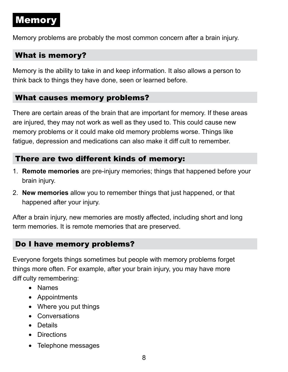# <span id="page-11-0"></span>Memory

Memory problems are probably the most common concern after a brain injury.

#### What is memory?

Memory is the ability to take in and keep information. It also allows a person to think back to things they have done, seen or learned before.

#### What causes memory problems?

There are certain areas of the brain that are important for memory. If these areas are injured, they may not work as well as they used to. This could cause new memory problems or it could make old memory problems worse. Things like fatigue, depression and medications can also make it diff cult to remember.

#### There are two different kinds of memory:

- 1. **Remote memories** are pre-injury memories; things that happened before your brain injury.
- 2. **New memories** allow you to remember things that just happened, or that happened after your injury.

After a brain injury, new memories are mostly affected, including short and long term memories. It is remote memories that are preserved.

#### Do I have memory problems?

Everyone forgets things sometimes but people with memory problems forget things more often. For example, after your brain injury, you may have more diff culty remembering:

- Names
- Appointments
- Where you put things
- Conversations
- Details
- Directions
- Telephone messages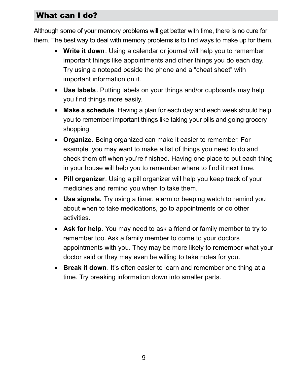#### What can I do?

Although some of your memory problems will get better with time, there is no cure for them. The best way to deal with memory problems is to f nd ways to make up for them.

- **Write it down**. Using a calendar or journal will help you to remember important things like appointments and other things you do each day. Try using a notepad beside the phone and a "cheat sheet" with important information on it.
- **Use labels**. Putting labels on your things and/or cupboards may help you f nd things more easily.
- **Make a schedule**. Having a plan for each day and each week should help you to remember important things like taking your pills and going grocery shopping.
- **Organize.** Being organized can make it easier to remember. For example, you may want to make a list of things you need to do and check them off when you're f nished. Having one place to put each thing in your house will help you to remember where to f nd it next time.
- **Pill organizer**. Using a pill organizer will help you keep track of your medicines and remind you when to take them.
- **Use signals.** Try using a timer, alarm or beeping watch to remind you about when to take medications, go to appointments or do other activities.
- **Ask for help**. You may need to ask a friend or family member to try to remember too. Ask a family member to come to your doctors appointments with you. They may be more likely to remember what your doctor said or they may even be willing to take notes for you.
- **Break it down**. It's often easier to learn and remember one thing at a time. Try breaking information down into smaller parts.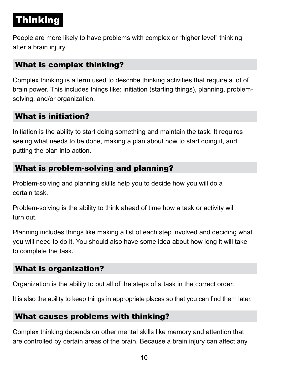# <span id="page-13-0"></span>Thinking

People are more likely to have problems with complex or "higher level" thinking after a brain injury.

#### What is complex thinking?

Complex thinking is a term used to describe thinking activities that require a lot of brain power. This includes things like: initiation (starting things), planning, problemsolving, and/or organization.

#### What is initiation?

Initiation is the ability to start doing something and maintain the task. It requires seeing what needs to be done, making a plan about how to start doing it, and putting the plan into action.

#### What is problem-solving and planning?

Problem-solving and planning skills help you to decide how you will do a certain task.

Problem-solving is the ability to think ahead of time how a task or activity will turn out.

Planning includes things like making a list of each step involved and deciding what you will need to do it. You should also have some idea about how long it will take to complete the task.

#### What is organization?

Organization is the ability to put all of the steps of a task in the correct order.

It is also the ability to keep things in appropriate places so that you can f nd them later.

#### What causes problems with thinking?

Complex thinking depends on other mental skills like memory and attention that are controlled by certain areas of the brain. Because a brain injury can affect any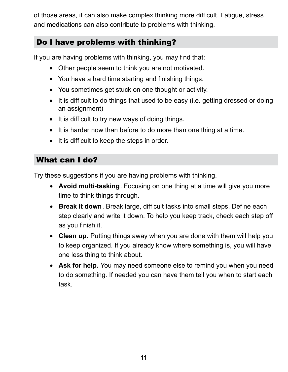of those areas, it can also make complex thinking more diff cult. Fatigue, stress and medications can also contribute to problems with thinking.

#### Do I have problems with thinking?

If you are having problems with thinking, you may f nd that:

- Other people seem to think you are not motivated.
- You have a hard time starting and f nishing things.
- You sometimes get stuck on one thought or activity.
- It is diff cult to do things that used to be easy (i.e. getting dressed or doing an assignment)
- It is diff cult to try new ways of doing things.
- It is harder now than before to do more than one thing at a time.
- It is diff cult to keep the steps in order.

#### What can I do?

Try these suggestions if you are having problems with thinking.

- **Avoid multi-tasking**. Focusing on one thing at a time will give you more time to think things through.
- **Break it down**. Break large, diff cult tasks into small steps. Def ne each step clearly and write it down. To help you keep track, check each step off as you f nish it.
- **Clean up.** Putting things away when you are done with them will help you to keep organized. If you already know where something is, you will have one less thing to think about.
- **Ask for help.** You may need someone else to remind you when you need to do something. If needed you can have them tell you when to start each task.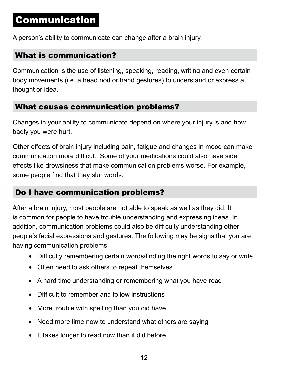## <span id="page-15-0"></span>Communication

A person's ability to communicate can change after a brain injury.

#### What is communication?

Communication is the use of listening, speaking, reading, writing and even certain body movements (i.e. a head nod or hand gestures) to understand or express a thought or idea.

#### What causes communication problems?

Changes in your ability to communicate depend on where your injury is and how badly you were hurt.

Other effects of brain injury including pain, fatigue and changes in mood can make communication more diff cult. Some of your medications could also have side effects like drowsiness that make communication problems worse. For example, some people f nd that they slur words.

#### Do I have communication problems?

After a brain injury, most people are not able to speak as well as they did. It is common for people to have trouble understanding and expressing ideas. In addition, communication problems could also be diff culty understanding other people's facial expressions and gestures. The following may be signs that you are having communication problems:

- Diff culty remembering certain words/f nding the right words to say or write
- Often need to ask others to repeat themselves
- A hard time understanding or remembering what you have read
- Diff cult to remember and follow instructions
- More trouble with spelling than you did have
- Need more time now to understand what others are saying
- It takes longer to read now than it did before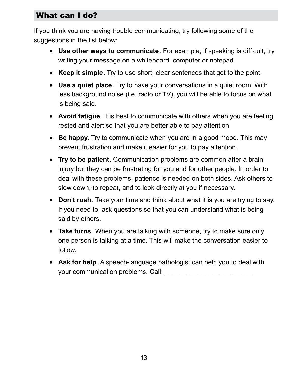#### What can I do?

If you think you are having trouble communicating, try following some of the suggestions in the list below:

- **Use other ways to communicate**. For example, if speaking is diff cult, try writing your message on a whiteboard, computer or notepad.
- **Keep it simple**. Try to use short, clear sentences that get to the point.
- **Use a quiet place**. Try to have your conversations in a quiet room. With less background noise (i.e. radio or TV), you will be able to focus on what is being said.
- **Avoid fatigue**. It is best to communicate with others when you are feeling rested and alert so that you are better able to pay attention.
- **Be happy.** Try to communicate when you are in a good mood. This may prevent frustration and make it easier for you to pay attention.
- **Try to be patient**. Communication problems are common after a brain injury but they can be frustrating for you and for other people. In order to deal with these problems, patience is needed on both sides. Ask others to slow down, to repeat, and to look directly at you if necessary.
- **Don't rush**. Take your time and think about what it is you are trying to say. If you need to, ask questions so that you can understand what is being said by others.
- **Take turns**. When you are talking with someone, try to make sure only one person is talking at a time. This will make the conversation easier to follow.
- **Ask for help**. A speech-language pathologist can help you to deal with your communication problems. Call: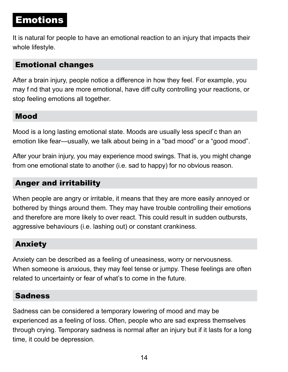## <span id="page-17-0"></span>Emotions

It is natural for people to have an emotional reaction to an injury that impacts their whole lifestyle.

#### Emotional changes

After a brain injury, people notice a difference in how they feel. For example, you may f nd that you are more emotional, have diff culty controlling your reactions, or stop feeling emotions all together.

#### Mood

Mood is a long lasting emotional state. Moods are usually less specif c than an emotion like fear—usually, we talk about being in a "bad mood" or a "good mood".

After your brain injury, you may experience mood swings. That is, you might change from one emotional state to another (i.e. sad to happy) for no obvious reason.

#### Anger and irritability

When people are angry or irritable, it means that they are more easily annoyed or bothered by things around them. They may have trouble controlling their emotions and therefore are more likely to over react. This could result in sudden outbursts, aggressive behaviours (i.e. lashing out) or constant crankiness.

#### Anxiety

Anxiety can be described as a feeling of uneasiness, worry or nervousness. When someone is anxious, they may feel tense or jumpy. These feelings are often related to uncertainty or fear of what's to come in the future.

#### Sadness

Sadness can be considered a temporary lowering of mood and may be experienced as a feeling of loss. Often, people who are sad express themselves through crying. Temporary sadness is normal after an injury but if it lasts for a long time, it could be depression.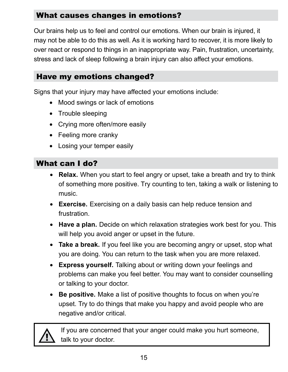#### What causes changes in emotions?

Our brains help us to feel and control our emotions. When our brain is injured, it may not be able to do this as well. As it is working hard to recover, it is more likely to over react or respond to things in an inappropriate way. Pain, frustration, uncertainty, stress and lack of sleep following a brain injury can also affect your emotions.

#### Have my emotions changed?

Signs that your injury may have affected your emotions include:

- Mood swings or lack of emotions
- Trouble sleeping
- Crying more often/more easily
- Feeling more cranky
- Losing your temper easily

#### What can I do?

- **Relax.** When you start to feel angry or upset, take a breath and try to think of something more positive. Try counting to ten, taking a walk or listening to music.
- **Exercise.** Exercising on a daily basis can help reduce tension and frustration.
- **Have a plan.** Decide on which relaxation strategies work best for you. This will help you avoid anger or upset in the future.
- **Take a break.** If you feel like you are becoming angry or upset, stop what you are doing. You can return to the task when you are more relaxed.
- **Express yourself.** Talking about or writing down your feelings and problems can make you feel better. You may want to consider counselling or talking to your doctor.
- **Be positive.** Make a list of positive thoughts to focus on when you're upset. Try to do things that make you happy and avoid people who are negative and/or critical.



If you are concerned that your anger could make you hurt someone, talk to your doctor.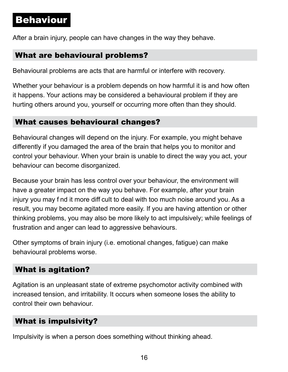### <span id="page-19-0"></span>Behaviour

After a brain injury, people can have changes in the way they behave.

#### What are behavioural problems?

Behavioural problems are acts that are harmful or interfere with recovery.

Whether your behaviour is a problem depends on how harmful it is and how often it happens. Your actions may be considered a behavioural problem if they are hurting others around you, yourself or occurring more often than they should.

#### What causes behavioural changes?

Behavioural changes will depend on the injury. For example, you might behave differently if you damaged the area of the brain that helps you to monitor and control your behaviour. When your brain is unable to direct the way you act, your behaviour can become disorganized.

Because your brain has less control over your behaviour, the environment will have a greater impact on the way you behave. For example, after your brain injury you may f nd it more diff cult to deal with too much noise around you. As a result, you may become agitated more easily. If you are having attention or other thinking problems, you may also be more likely to act impulsively; while feelings of frustration and anger can lead to aggressive behaviours.

Other symptoms of brain injury (i.e. emotional changes, fatigue) can make behavioural problems worse.

#### What is agitation?

Agitation is an unpleasant state of extreme psychomotor activity combined with increased tension, and irritability. It occurs when someone loses the ability to control their own behaviour.

#### What is impulsivity?

Impulsivity is when a person does something without thinking ahead.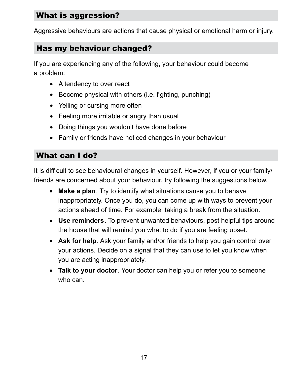#### What is aggression?

Aggressive behaviours are actions that cause physical or emotional harm or injury.

#### Has my behaviour changed?

If you are experiencing any of the following, your behaviour could become a problem:

- A tendency to over react
- Become physical with others (i.e. f ghting, punching)
- Yelling or cursing more often
- Feeling more irritable or angry than usual
- Doing things you wouldn't have done before
- Family or friends have noticed changes in your behaviour

#### What can I do?

It is diff cult to see behavioural changes in yourself. However, if you or your family/ friends are concerned about your behaviour, try following the suggestions below.

- **Make a plan**. Try to identify what situations cause you to behave inappropriately. Once you do, you can come up with ways to prevent your actions ahead of time. For example, taking a break from the situation.
- **Use reminders**. To prevent unwanted behaviours, post helpful tips around the house that will remind you what to do if you are feeling upset.
- **Ask for help**. Ask your family and/or friends to help you gain control over your actions. Decide on a signal that they can use to let you know when you are acting inappropriately.
- **Talk to your doctor**. Your doctor can help you or refer you to someone who can.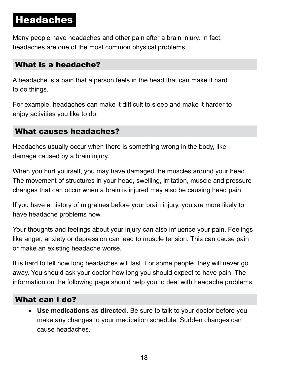# <span id="page-21-0"></span>Headaches

Many people have headaches and other pain after a brain injury. In fact, headaches are one of the most common physical problems.

#### What is a headache?

A headache is a pain that a person feels in the head that can make it hard to do things.

For example, headaches can make it diff cult to sleep and make it harder to enjoy activities you like to do.

#### What causes headaches?

Headaches usually occur when there is something wrong in the body, like damage caused by a brain injury.

When you hurt yourself, you may have damaged the muscles around your head. The movement of structures in your head, swelling, irritation, muscle and pressure changes that can occur when a brain is injured may also be causing head pain.

If you have a history of migraines before your brain injury, you are more likely to have headache problems now.

Your thoughts and feelings about your injury can also inf uence your pain. Feelings like anger, anxiety or depression can lead to muscle tension. This can cause pain or make an existing headache worse.

It is hard to tell how long headaches will last. For some people, they will never go away. You should ask your doctor how long you should expect to have pain. The information on the following page should help you to deal with headache problems.

#### What can I do?

• **Use medications as directed**. Be sure to talk to your doctor before you make any changes to your medication schedule. Sudden changes can cause headaches.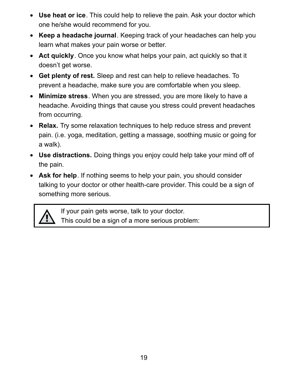- **Use heat or ice**. This could help to relieve the pain. Ask your doctor which one he/she would recommend for you.
- **Keep a headache journal**. Keeping track of your headaches can help you learn what makes your pain worse or better.
- **Act quickly**. Once you know what helps your pain, act quickly so that it doesn't get worse.
- **Get plenty of rest.** Sleep and rest can help to relieve headaches. To prevent a headache, make sure you are comfortable when you sleep.
- **Minimize stress**. When you are stressed, you are more likely to have a headache. Avoiding things that cause you stress could prevent headaches from occurring.
- **Relax.** Try some relaxation techniques to help reduce stress and prevent pain. (i.e. yoga, meditation, getting a massage, soothing music or going for a walk).
- **Use distractions.** Doing things you enjoy could help take your mind off of the pain.
- **Ask for help**. If nothing seems to help your pain, you should consider talking to your doctor or other health-care provider. This could be a sign of something more serious.



If your pain gets worse, talk to your doctor. This could be a sign of a more serious problem: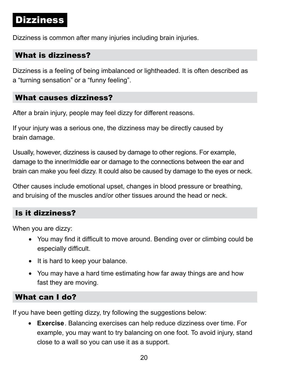### <span id="page-23-0"></span>Dizziness

Dizziness is common after many injuries including brain injuries.

#### What is dizziness?

Dizziness is a feeling of being imbalanced or lightheaded. It is often described as a "turning sensation" or a "funny feeling".

#### What causes dizziness?

After a brain injury, people may feel dizzy for different reasons.

If your injury was a serious one, the dizziness may be directly caused by brain damage.

Usually, however, dizziness is caused by damage to other regions. For example, damage to the inner/middle ear or damage to the connections between the ear and brain can make you feel dizzy. It could also be caused by damage to the eyes or neck.

Other causes include emotional upset, changes in blood pressure or breathing, and bruising of the muscles and/or other tissues around the head or neck.

#### Is it dizziness?

When you are dizzy:

- You may find it difficult to move around. Bending over or climbing could be especially difficult.
- It is hard to keep your balance.
- You may have a hard time estimating how far away things are and how fast they are moving.

#### What can I do?

If you have been getting dizzy, try following the suggestions below:

• **Exercise**. Balancing exercises can help reduce dizziness over time. For example, you may want to try balancing on one foot. To avoid injury, stand close to a wall so you can use it as a support.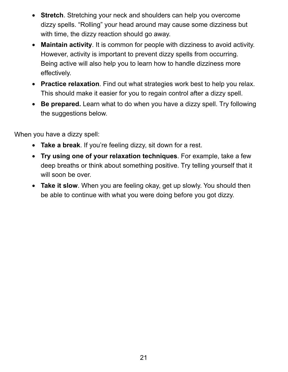- **Stretch**. Stretching your neck and shoulders can help you overcome dizzy spells. "Rolling" your head around may cause some dizziness but with time, the dizzy reaction should go away.
- **Maintain activity**. It is common for people with dizziness to avoid activity. However, activity is important to prevent dizzy spells from occurring. Being active will also help you to learn how to handle dizziness more effectively.
- **Practice relaxation**. Find out what strategies work best to help you relax. This should make it easier for you to regain control after a dizzy spell.
- **Be prepared.** Learn what to do when you have a dizzy spell. Try following the suggestions below.

When you have a dizzy spell:

- **Take a break**. If you're feeling dizzy, sit down for a rest.
- **Try using one of your relaxation techniques**. For example, take a few deep breaths or think about something positive. Try telling yourself that it will soon be over.
- **Take it slow**. When you are feeling okay, get up slowly. You should then be able to continue with what you were doing before you got dizzy.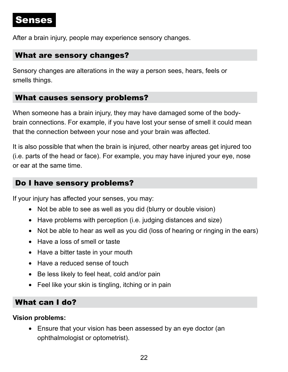### <span id="page-25-0"></span>Senses

After a brain injury, people may experience sensory changes.

#### What are sensory changes?

Sensory changes are alterations in the way a person sees, hears, feels or smells things.

#### What causes sensory problems?

When someone has a brain injury, they may have damaged some of the bodybrain connections. For example, if you have lost your sense of smell it could mean that the connection between your nose and your brain was affected.

It is also possible that when the brain is injured, other nearby areas get injured too (i.e. parts of the head or face). For example, you may have injured your eye, nose or ear at the same time.

#### Do I have sensory problems?

If your injury has affected your senses, you may:

- Not be able to see as well as you did (blurry or double vision)
- Have problems with perception (i.e. judging distances and size)
- Not be able to hear as well as you did (loss of hearing or ringing in the ears)
- Have a loss of smell or taste
- Have a bitter taste in your mouth
- Have a reduced sense of touch
- Be less likely to feel heat, cold and/or pain
- Feel like your skin is tingling, itching or in pain

#### What can I do?

#### **Vision problems:**

• Ensure that your vision has been assessed by an eye doctor (an ophthalmologist or optometrist).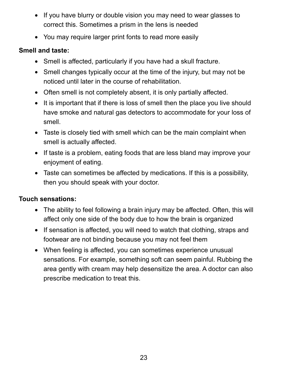- If you have blurry or double vision you may need to wear glasses to correct this. Sometimes a prism in the lens is needed
- You may require larger print fonts to read more easily

#### **Smell and taste:**

- Smell is affected, particularly if you have had a skull fracture.
- Smell changes typically occur at the time of the injury, but may not be noticed until later in the course of rehabilitation.
- Often smell is not completely absent, it is only partially affected.
- It is important that if there is loss of smell then the place you live should have smoke and natural gas detectors to accommodate for your loss of smell.
- Taste is closely tied with smell which can be the main complaint when smell is actually affected.
- If taste is a problem, eating foods that are less bland may improve your enjoyment of eating.
- Taste can sometimes be affected by medications. If this is a possibility, then you should speak with your doctor.

#### **Touch sensations:**

- The ability to feel following a brain injury may be affected. Often, this will affect only one side of the body due to how the brain is organized
- If sensation is affected, you will need to watch that clothing, straps and footwear are not binding because you may not feel them
- When feeling is affected, you can sometimes experience unusual sensations. For example, something soft can seem painful. Rubbing the area gently with cream may help desensitize the area. A doctor can also prescribe medication to treat this.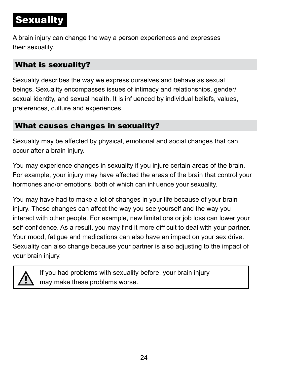# **Sexuality**

A brain injury can change the way a person experiences and expresses their sexuality.

#### What is sexuality?

Sexuality describes the way we express ourselves and behave as sexual beings. Sexuality encompasses issues of intimacy and relationships, gender/ sexual identity, and sexual health. It is inf uenced by individual beliefs, values, preferences, culture and experiences.

#### What causes changes in sexuality?

Sexuality may be affected by physical, emotional and social changes that can occur after a brain injury.

You may experience changes in sexuality if you injure certain areas of the brain. For example, your injury may have affected the areas of the brain that control your hormones and/or emotions, both of which can inf uence your sexuality.

You may have had to make a lot of changes in your life because of your brain injury. These changes can affect the way you see yourself and the way you interact with other people. For example, new limitations or job loss can lower your self-conf dence. As a result, you may f nd it more diff cult to deal with your partner. Your mood, fatigue and medications can also have an impact on your sex drive. Sexuality can also change because your partner is also adjusting to the impact of your brain injury.



If you had problems with sexuality before, your brain injury may make these problems worse.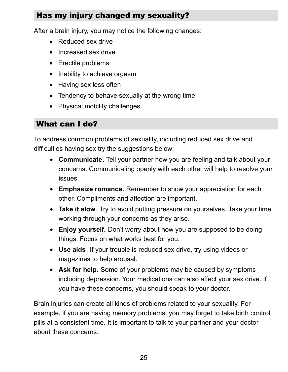#### Has my injury changed my sexuality?

After a brain injury, you may notice the following changes:

- Reduced sex drive
- Increased sex drive
- Erectile problems
- Inability to achieve orgasm
- Having sex less often
- Tendency to behave sexually at the wrong time
- Physical mobility challenges

#### What can I do?

To address common problems of sexuality, including reduced sex drive and diff culties having sex try the suggestions below:

- **Communicate**. Tell your partner how you are feeling and talk about your concerns. Communicating openly with each other will help to resolve your issues.
- **Emphasize romance.** Remember to show your appreciation for each other. Compliments and affection are important.
- **Take it slow**. Try to avoid putting pressure on yourselves. Take your time, working through your concerns as they arise.
- **Enjoy yourself.** Don't worry about how you are supposed to be doing things. Focus on what works best for you.
- **Use aids**. If your trouble is reduced sex drive, try using videos or magazines to help arousal.
- **Ask for help.** Some of your problems may be caused by symptoms including depression. Your medications can also affect your sex drive. If you have these concerns, you should speak to your doctor.

Brain injuries can create all kinds of problems related to your sexuality. For example, if you are having memory problems, you may forget to take birth control pills at a consistent time. It is important to talk to your partner and your doctor about these concerns.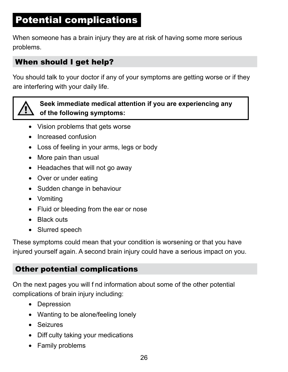# <span id="page-29-0"></span>Potential complications

When someone has a brain injury they are at risk of having some more serious problems.

#### When should I get help?

You should talk to your doctor if any of your symptoms are getting worse or if they are interfering with your daily life.



#### **Seek immediate medical attention if you are experiencing any of the following symptoms:**

- Vision problems that gets worse
- Increased confusion
- Loss of feeling in your arms, legs or body
- More pain than usual
- Headaches that will not go away
- Over or under eating
- Sudden change in behaviour
- Vomiting
- Fluid or bleeding from the ear or nose
- Black outs
- Slurred speech

These symptoms could mean that your condition is worsening or that you have injured yourself again. A second brain injury could have a serious impact on you.

#### Other potential complications

On the next pages you will f nd information about some of the other potential complications of brain injury including:

- Depression
- Wanting to be alone/feeling lonely
- Seizures
- Diff culty taking your medications
- Family problems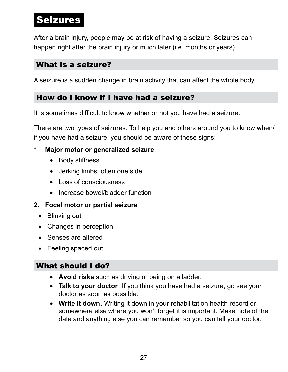### <span id="page-30-0"></span>Seizures

After a brain injury, people may be at risk of having a seizure. Seizures can happen right after the brain injury or much later (i.e. months or years).

#### What is a seizure?

A seizure is a sudden change in brain activity that can affect the whole body.

#### How do I know if I have had a seizure?

It is sometimes diff cult to know whether or not you have had a seizure.

There are two types of seizures. To help you and others around you to know when/ if you have had a seizure, you should be aware of these signs:

#### **1 Major motor or generalized seizure**

- Body stiffness
- Jerking limbs, often one side
- Loss of consciousness
- Increase bowel/bladder function

#### **2. Focal motor or partial seizure**

- Blinking out
- Changes in perception
- Senses are altered
- Feeling spaced out

#### What should I do?

- **Avoid risks** such as driving or being on a ladder.
- **Talk to your doctor**. If you think you have had a seizure, go see your doctor as soon as possible.
- **Write it down**. Writing it down in your rehabilitation health record or somewhere else where you won't forget it is important. Make note of the date and anything else you can remember so you can tell your doctor.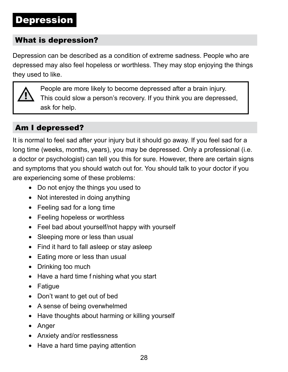### <span id="page-31-0"></span>Depression

#### What is depression?

Depression can be described as a condition of extreme sadness. People who are depressed may also feel hopeless or worthless. They may stop enjoying the things they used to like.



People are more likely to become depressed after a brain injury. This could slow a person's recovery. If you think you are depressed, ask for help.

#### Am I depressed?

It is normal to feel sad after your injury but it should go away. If you feel sad for a long time (weeks, months, years), you may be depressed. Only a professional (i.e. a doctor or psychologist) can tell you this for sure. However, there are certain signs and symptoms that you should watch out for. You should talk to your doctor if you are experiencing some of these problems:

- Do not enjoy the things you used to
- Not interested in doing anything
- Feeling sad for a long time
- Feeling hopeless or worthless
- Feel bad about yourself/not happy with yourself
- Sleeping more or less than usual
- Find it hard to fall asleep or stay asleep
- Eating more or less than usual
- Drinking too much
- Have a hard time f nishing what you start
- Fatigue
- Don't want to get out of bed
- A sense of being overwhelmed
- Have thoughts about harming or killing yourself
- Anger
- Anxiety and/or restlessness
- Have a hard time paying attention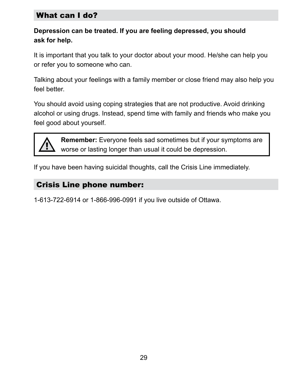#### What can I do?

#### **Depression can be treated. If you are feeling depressed, you should ask for help.**

It is important that you talk to your doctor about your mood. He/she can help you or refer you to someone who can.

Talking about your feelings with a family member or close friend may also help you feel better.

You should avoid using coping strategies that are not productive. Avoid drinking alcohol or using drugs. Instead, spend time with family and friends who make you feel good about yourself.



**Remember:** Everyone feels sad sometimes but if your symptoms are worse or lasting longer than usual it could be depression.

If you have been having suicidal thoughts, call the Crisis Line immediately.

#### Crisis Line phone number:

1-613-722-6914 or 1-866-996-0991 if you live outside of Ottawa.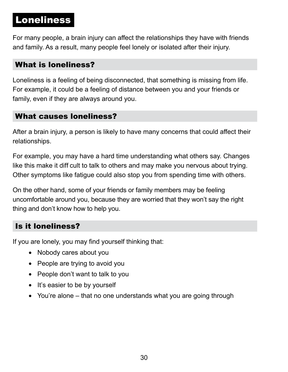# <span id="page-33-0"></span>Loneliness

For many people, a brain injury can affect the relationships they have with friends and family. As a result, many people feel lonely or isolated after their injury.

#### What is loneliness?

Loneliness is a feeling of being disconnected, that something is missing from life. For example, it could be a feeling of distance between you and your friends or family, even if they are always around you.

#### What causes loneliness?

After a brain injury, a person is likely to have many concerns that could affect their relationships.

For example, you may have a hard time understanding what others say. Changes like this make it diff cult to talk to others and may make you nervous about trying. Other symptoms like fatigue could also stop you from spending time with others.

On the other hand, some of your friends or family members may be feeling uncomfortable around you, because they are worried that they won't say the right thing and don't know how to help you.

#### Is it loneliness?

If you are lonely, you may find yourself thinking that:

- Nobody cares about you
- People are trying to avoid you
- People don't want to talk to you
- It's easier to be by yourself
- You're alone that no one understands what you are going through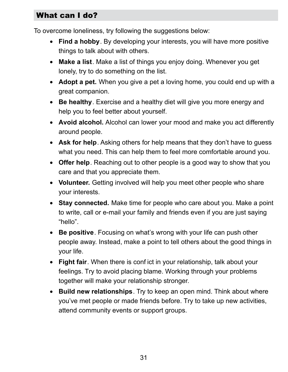#### What can I do?

To overcome loneliness, try following the suggestions below:

- **Find a hobby**. By developing your interests, you will have more positive things to talk about with others.
- **Make a list**. Make a list of things you enjoy doing. Whenever you get lonely, try to do something on the list.
- **Adopt a pet.** When you give a pet a loving home, you could end up with a great companion.
- **Be healthy**. Exercise and a healthy diet will give you more energy and help you to feel better about yourself.
- **Avoid alcohol.** Alcohol can lower your mood and make you act differently around people.
- **Ask for help**. Asking others for help means that they don't have to guess what you need. This can help them to feel more comfortable around you.
- **Offer help**. Reaching out to other people is a good way to show that you care and that you appreciate them.
- **Volunteer.** Getting involved will help you meet other people who share your interests.
- **Stay connected.** Make time for people who care about you. Make a point to write, call or e-mail your family and friends even if you are just saying "hello".
- **Be positive**. Focusing on what's wrong with your life can push other people away. Instead, make a point to tell others about the good things in your life.
- **Fight fair**. When there is conf ict in your relationship, talk about your feelings. Try to avoid placing blame. Working through your problems together will make your relationship stronger.
- **Build new relationships**. Try to keep an open mind. Think about where you've met people or made friends before. Try to take up new activities, attend community events or support groups.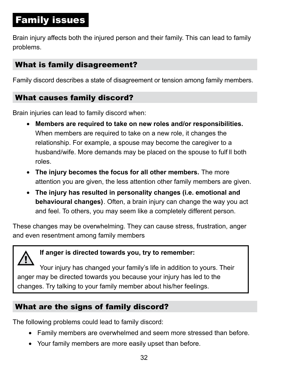# <span id="page-35-0"></span>Family issues

Brain injury affects both the injured person and their family. This can lead to family problems.

#### What is family disagreement?

Family discord describes a state of disagreement or tension among family members.

#### What causes family discord?

Brain injuries can lead to family discord when:

- **Members are required to take on new roles and/or responsibilities.** When members are required to take on a new role, it changes the relationship. For example, a spouse may become the caregiver to a husband/wife. More demands may be placed on the spouse to fulf ll both roles.
- **The injury becomes the focus for all other members.** The more attention you are given, the less attention other family members are given.
- **The injury has resulted in personality changes (i.e. emotional and behavioural changes)**. Often, a brain injury can change the way you act and feel. To others, you may seem like a completely different person.

These changes may be overwhelming. They can cause stress, frustration, anger and even resentment among family members

#### **If anger is directed towards you, try to remember:**

Your injury has changed your family's life in addition to yours. Their anger may be directed towards you because your injury has led to the changes. Try talking to your family member about his/her feelings.

#### What are the signs of family discord?

The following problems could lead to family discord:

- Family members are overwhelmed and seem more stressed than before.
- Your family members are more easily upset than before.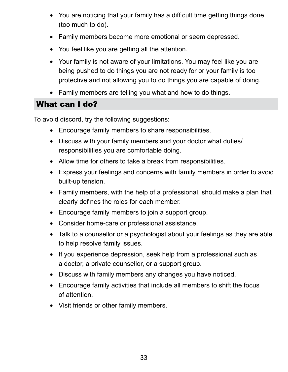- You are noticing that your family has a diff cult time getting things done (too much to do).
- Family members become more emotional or seem depressed.
- You feel like you are getting all the attention.
- Your family is not aware of your limitations. You may feel like you are being pushed to do things you are not ready for or your family is too protective and not allowing you to do things you are capable of doing.
- Family members are telling you what and how to do things.

#### What can I do?

To avoid discord, try the following suggestions:

- Encourage family members to share responsibilities.
- Discuss with your family members and your doctor what duties/ responsibilities you are comfortable doing.
- Allow time for others to take a break from responsibilities.
- Express your feelings and concerns with family members in order to avoid built-up tension.
- Family members, with the help of a professional, should make a plan that clearly def nes the roles for each member.
- Encourage family members to join a support group.
- Consider home-care or professional assistance.
- Talk to a counsellor or a psychologist about your feelings as they are able to help resolve family issues.
- If you experience depression, seek help from a professional such as a doctor, a private counsellor, or a support group.
- Discuss with family members any changes you have noticed.
- Encourage family activities that include all members to shift the focus of attention.
- Visit friends or other family members.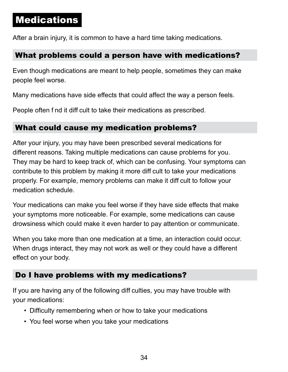## **Medications**

After a brain injury, it is common to have a hard time taking medications.

#### What problems could a person have with medications?

Even though medications are meant to help people, sometimes they can make people feel worse.

Many medications have side effects that could affect the way a person feels.

People often f nd it diff cult to take their medications as prescribed.

#### What could cause my medication problems?

After your injury, you may have been prescribed several medications for different reasons. Taking multiple medications can cause problems for you. They may be hard to keep track of, which can be confusing. Your symptoms can contribute to this problem by making it more diff cult to take your medications properly. For example, memory problems can make it diff cult to follow your medication schedule.

Your medications can make you feel worse if they have side effects that make your symptoms more noticeable. For example, some medications can cause drowsiness which could make it even harder to pay attention or communicate.

When you take more than one medication at a time, an interaction could occur. When drugs interact, they may not work as well or they could have a different effect on your body.

#### Do I have problems with my medications?

If you are having any of the following diff culties, you may have trouble with your medications:

- Difficulty remembering when or how to take your medications
- You feel worse when you take your medications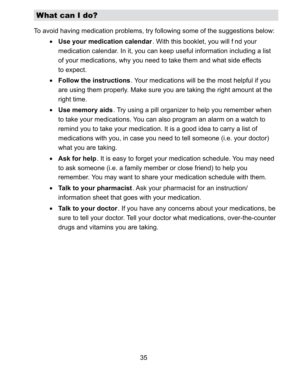#### What can I do?

To avoid having medication problems, try following some of the suggestions below:

- **Use your medication calendar**. With this booklet, you will f nd your medication calendar. In it, you can keep useful information including a list of your medications, why you need to take them and what side effects to expect.
- **Follow the instructions**. Your medications will be the most helpful if you are using them properly. Make sure you are taking the right amount at the right time.
- **Use memory aids**. Try using a pill organizer to help you remember when to take your medications. You can also program an alarm on a watch to remind you to take your medication. It is a good idea to carry a list of medications with you, in case you need to tell someone (i.e. your doctor) what you are taking.
- **Ask for help**. It is easy to forget your medication schedule. You may need to ask someone (i.e. a family member or close friend) to help you remember. You may want to share your medication schedule with them.
- **Talk to your pharmacist**. Ask your pharmacist for an instruction/ information sheet that goes with your medication.
- **Talk to your doctor**. If you have any concerns about your medications, be sure to tell your doctor. Tell your doctor what medications, over-the-counter drugs and vitamins you are taking.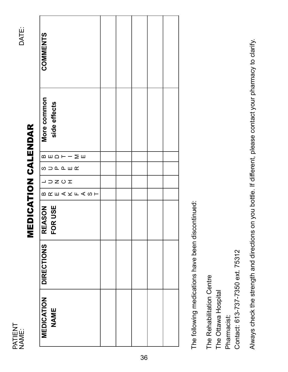NAME:<br>DATE: PATIENT<br>NAME: PATIENT

# **MEDICATION CALENDAR** MEDICATION CALENDAR

| <b>COMMENTS</b>                                                 |  |  |  |
|-----------------------------------------------------------------|--|--|--|
| More common<br>side effects                                     |  |  |  |
| $\mathsf{min} \, \mathsf{min} \, -\mathsf{min} \, \mathsf{min}$ |  |  |  |
| <b>SUDREWA</b>                                                  |  |  |  |
| $\sqcup \sqsupset \mathsf{Z} \cup \mathsf{I}$                   |  |  |  |
| <b>BRE人KFASH</b>                                                |  |  |  |
| FOR USE<br><b>REASON</b>                                        |  |  |  |
| <b>DIRECTIONS</b>                                               |  |  |  |
| MEDICATION<br><b>NAME</b>                                       |  |  |  |

The following medications have been discontinued: The following medications have been discontinued:

The Rehabilitation Centre The Rehabilitation Centre The Ottawa Hospital The Ottawa Hospital

Pharmacist: Pharmacist:

Contact: 613-737-7350 ext. 75312 Contact: 613-737-7350 ext. 75312

Always check the strength and directions on you bottle. If different, please contact your pharmacy to clarify. Always check the strength and directions on you bottle. If different, please contact your pharmacy to clarify.

DATE: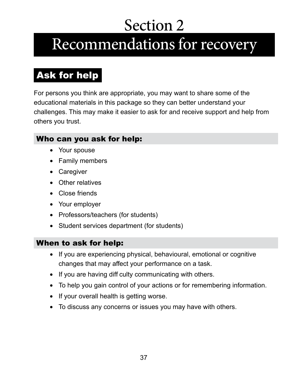# Section 2 Recommendations for recovery

# Ask for help

For persons you think are appropriate, you may want to share some of the educational materials in this package so they can better understand your challenges. This may make it easier to ask for and receive support and help from others you trust.

#### Who can you ask for help:

- Your spouse
- Family members
- Caregiver
- Other relatives
- Close friends
- Your employer
- Professors/teachers (for students)
- Student services department (for students)

#### When to ask for help:

- If you are experiencing physical, behavioural, emotional or cognitive changes that may affect your performance on a task.
- If you are having diff culty communicating with others.
- To help you gain control of your actions or for remembering information.
- If your overall health is getting worse.
- To discuss any concerns or issues you may have with others.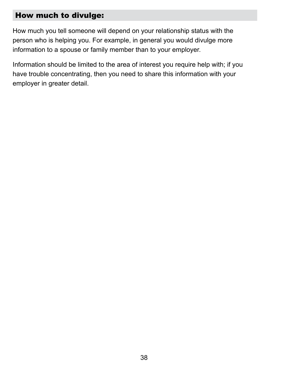#### How much to divulge:

How much you tell someone will depend on your relationship status with the person who is helping you. For example, in general you would divulge more information to a spouse or family member than to your employer.

Information should be limited to the area of interest you require help with; if you have trouble concentrating, then you need to share this information with your employer in greater detail.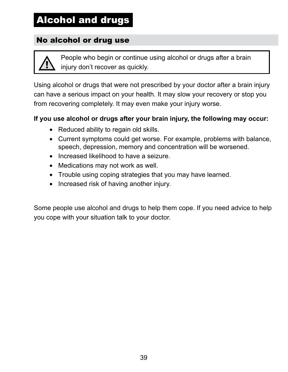# Alcohol and drugs

#### No alcohol or drug use

People who begin or continue using alcohol or drugs after a brain injury don't recover as quickly.

Using alcohol or drugs that were not prescribed by your doctor after a brain injury can have a serious impact on your health. It may slow your recovery or stop you from recovering completely. It may even make your injury worse.

#### **If you use alcohol or drugs after your brain injury, the following may occur:**

- Reduced ability to regain old skills.
- Current symptoms could get worse. For example, problems with balance, speech, depression, memory and concentration will be worsened.
- Increased likelihood to have a seizure.
- Medications may not work as well.
- Trouble using coping strategies that you may have learned.
- Increased risk of having another injury.

Some people use alcohol and drugs to help them cope. If you need advice to help you cope with your situation talk to your doctor.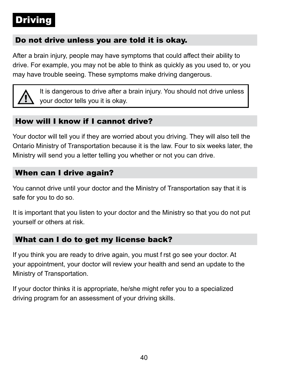# Driving

#### Do not drive unless you are told it is okay.

After a brain injury, people may have symptoms that could affect their ability to drive. For example, you may not be able to think as quickly as you used to, or you may have trouble seeing. These symptoms make driving dangerous.



It is dangerous to drive after a brain injury. You should not drive unless your doctor tells you it is okay.

#### How will I know if I cannot drive?

Your doctor will tell you if they are worried about you driving. They will also tell the Ontario Ministry of Transportation because it is the law. Four to six weeks later, the Ministry will send you a letter telling you whether or not you can drive.

#### When can I drive again?

You cannot drive until your doctor and the Ministry of Transportation say that it is safe for you to do so.

It is important that you listen to your doctor and the Ministry so that you do not put yourself or others at risk.

#### What can I do to get my license back?

If you think you are ready to drive again, you must f rst go see your doctor. At your appointment, your doctor will review your health and send an update to the Ministry of Transportation.

If your doctor thinks it is appropriate, he/she might refer you to a specialized driving program for an assessment of your driving skills.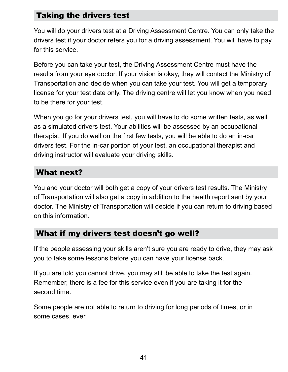#### Taking the drivers test

You will do your drivers test at a Driving Assessment Centre. You can only take the drivers test if your doctor refers you for a driving assessment. You will have to pay for this service.

Before you can take your test, the Driving Assessment Centre must have the results from your eye doctor. If your vision is okay, they will contact the Ministry of Transportation and decide when you can take your test. You will get a temporary license for your test date only. The driving centre will let you know when you need to be there for your test.

When you go for your drivers test, you will have to do some written tests, as well as a simulated drivers test. Your abilities will be assessed by an occupational therapist. If you do well on the f rst few tests, you will be able to do an in-car drivers test. For the in-car portion of your test, an occupational therapist and driving instructor will evaluate your driving skills.

#### What next?

You and your doctor will both get a copy of your drivers test results. The Ministry of Transportation will also get a copy in addition to the health report sent by your doctor. The Ministry of Transportation will decide if you can return to driving based on this information.

#### What if my drivers test doesn't go well?

If the people assessing your skills aren't sure you are ready to drive, they may ask you to take some lessons before you can have your license back.

If you are told you cannot drive, you may still be able to take the test again. Remember, there is a fee for this service even if you are taking it for the second time.

Some people are not able to return to driving for long periods of times, or in some cases, ever.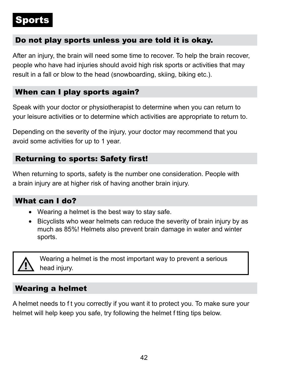# Sports

#### Do not play sports unless you are told it is okay.

After an injury, the brain will need some time to recover. To help the brain recover, people who have had injuries should avoid high risk sports or activities that may result in a fall or blow to the head (snowboarding, skiing, biking etc.).

#### When can I play sports again?

Speak with your doctor or physiotherapist to determine when you can return to your leisure activities or to determine which activities are appropriate to return to.

Depending on the severity of the injury, your doctor may recommend that you avoid some activities for up to 1 year.

#### **Returning to sports: Safety first!**

When returning to sports, safety is the number one consideration. People with a brain injury are at higher risk of having another brain injury.

#### What can I do?

- Wearing a helmet is the best way to stay safe.
- Bicyclists who wear helmets can reduce the severity of brain injury by as much as 85%! Helmets also prevent brain damage in water and winter sports.



Wearing a helmet is the most important way to prevent a serious head injury.

#### Wearing a helmet

A helmet needs to f t you correctly if you want it to protect you. To make sure your helmet will help keep you safe, try following the helmet f tting tips below.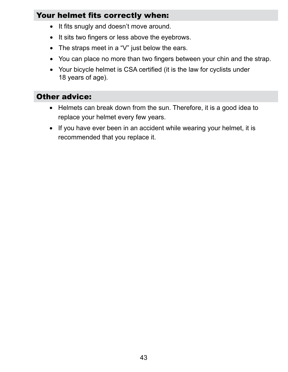#### Your helmet fits correctly when:

- It fits snugly and doesn't move around.
- It sits two fingers or less above the eyebrows.
- The straps meet in a "V" just below the ears.
- You can place no more than two fingers between your chin and the strap.
- Your bicycle helmet is CSA certified (it is the law for cyclists under 18 years of age).

#### Other advice:

- Helmets can break down from the sun. Therefore, it is a good idea to replace your helmet every few years.
- If you have ever been in an accident while wearing your helmet, it is recommended that you replace it.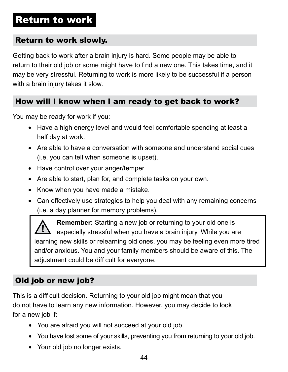## Return to work

#### Return to work slowly.

Getting back to work after a brain injury is hard. Some people may be able to return to their old job or some might have to f nd a new one. This takes time, and it may be very stressful. Returning to work is more likely to be successful if a person with a brain injury takes it slow.

#### How will I know when I am ready to get back to work?

You may be ready for work if you:

- Have a high energy level and would feel comfortable spending at least a half day at work.
- Are able to have a conversation with someone and understand social cues (i.e. you can tell when someone is upset).
- Have control over your anger/temper.
- Are able to start, plan for, and complete tasks on your own.
- Know when you have made a mistake.
- Can effectively use strategies to help you deal with any remaining concerns (i.e. a day planner for memory problems).

**Remember:** Starting a new job or returning to your old one is especially stressful when you have a brain injury. While you are learning new skills or relearning old ones, you may be feeling even more tired and/or anxious. You and your family members should be aware of this. The adjustment could be diff cult for everyone.

## Old job or new job?

This is a diff cult decision. Returning to your old job might mean that you do not have to learn any new information. However, you may decide to look for a new job if:

- You are afraid you will not succeed at your old job.
- You have lost some of your skills, preventing you from returning to your old job.
- Your old job no longer exists.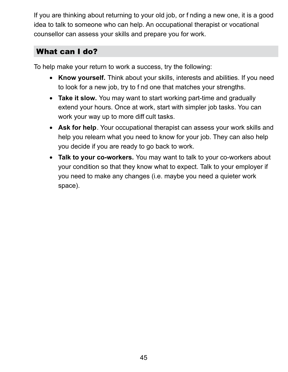If you are thinking about returning to your old job, or f nding a new one, it is a good idea to talk to someone who can help. An occupational therapist or vocational counsellor can assess your skills and prepare you for work.

#### What can I do?

To help make your return to work a success, try the following:

- **Know yourself.** Think about your skills, interests and abilities. If you need to look for a new job, try to f nd one that matches your strengths.
- **Take it slow.** You may want to start working part-time and gradually extend your hours. Once at work, start with simpler job tasks. You can work your way up to more diff cult tasks.
- **Ask for help**. Your occupational therapist can assess your work skills and help you relearn what you need to know for your job. They can also help you decide if you are ready to go back to work.
- **Talk to your co-workers.** You may want to talk to your co-workers about your condition so that they know what to expect. Talk to your employer if you need to make any changes (i.e. maybe you need a quieter work space).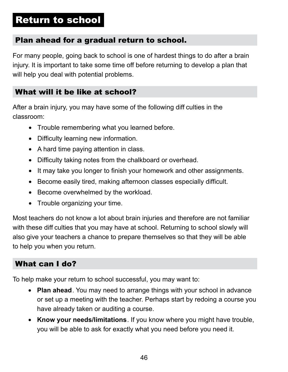# Return to school

#### Plan ahead for a gradual return to school.

For many people, going back to school is one of hardest things to do after a brain injury. It is important to take some time off before returning to develop a plan that will help you deal with potential problems.

#### What will it be like at school?

After a brain injury, you may have some of the following diff culties in the classroom:

- Trouble remembering what you learned before.
- Difficulty learning new information.
- A hard time paying attention in class.
- Difficulty taking notes from the chalkboard or overhead.
- It may take you longer to finish your homework and other assignments.
- Become easily tired, making afternoon classes especially difficult.
- Become overwhelmed by the workload.
- Trouble organizing your time.

Most teachers do not know a lot about brain injuries and therefore are not familiar with these diff culties that you may have at school. Returning to school slowly will also give your teachers a chance to prepare themselves so that they will be able to help you when you return.

#### What can I do?

To help make your return to school successful, you may want to:

- **Plan ahead**. You may need to arrange things with your school in advance or set up a meeting with the teacher. Perhaps start by redoing a course you have already taken or auditing a course.
- **Know your needs/limitations**. If you know where you might have trouble, you will be able to ask for exactly what you need before you need it.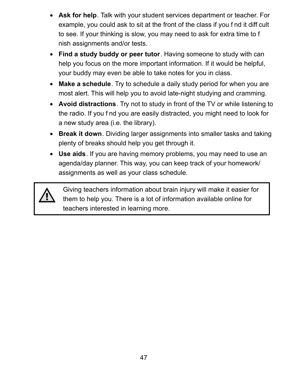- **Ask for help**. Talk with your student services department or teacher. For example, you could ask to sit at the front of the class if you f nd it diff cult to see. If your thinking is slow, you may need to ask for extra time to f nish assignments and/or tests.
- **Find a study buddy or peer tutor**. Having someone to study with can help you focus on the more important information. If it would be helpful, your buddy may even be able to take notes for you in class.
- **Make a schedule**. Try to schedule a daily study period for when you are most alert. This will help you to avoid late-night studying and cramming.
- **Avoid distractions**. Try not to study in front of the TV or while listening to the radio. If you f nd you are easily distracted, you might need to look for a new study area (i.e. the library).
- **Break it down**. Dividing larger assignments into smaller tasks and taking plenty of breaks should help you get through it.
- **Use aids**. If you are having memory problems, you may need to use an agenda/day planner. This way, you can keep track of your homework/ assignments as well as your class schedule.



Giving teachers information about brain injury will make it easier for them to help you. There is a lot of information available online for teachers interested in learning more.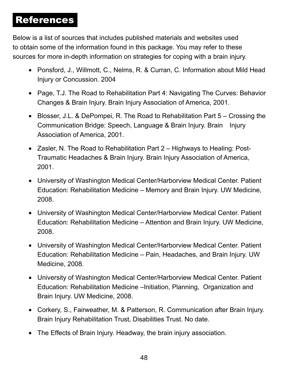## References

Below is a list of sources that includes published materials and websites used to obtain some of the information found in this package. You may refer to these sources for more in-depth information on strategies for coping with a brain injury.

- Ponsford, J., Willmott, C., Nelms, R. & Curran, C. Information about Mild Head Injury or Concussion. 2004
- Page, T.J. The Road to Rehabilitation Part 4: Navigating The Curves: Behavior Changes & Brain Injury. Brain Injury Association of America, 2001.
- Blosser, J.L. & DePompei, R. The Road to Rehabilitation Part 5 Crossing the Communication Bridge: Speech, Language & Brain Injury. Brain Injury Association of America, 2001.
- Zasler, N. The Road to Rehabilitation Part 2 Highways to Healing: Post-Traumatic Headaches & Brain Injury. Brain Injury Association of America, 2001.
- University of Washington Medical Center/Harborview Medical Center. Patient Education: Rehabilitation Medicine – Memory and Brain Injury. UW Medicine, 2008.
- University of Washington Medical Center/Harborview Medical Center. Patient Education: Rehabilitation Medicine – Attention and Brain Injury. UW Medicine, 2008.
- University of Washington Medical Center/Harborview Medical Center. Patient Education: Rehabilitation Medicine – Pain, Headaches, and Brain Injury. UW Medicine, 2008.
- University of Washington Medical Center/Harborview Medical Center. Patient Education: Rehabilitation Medicine –Initiation, Planning, Organization and Brain Injury. UW Medicine, 2008.
- Corkery, S., Fairweather, M. & Patterson, R. Communication after Brain Injury. Brain Injury Rehabilitation Trust, Disabilities Trust. No date.
- The Effects of Brain Injury. Headway, the brain injury association.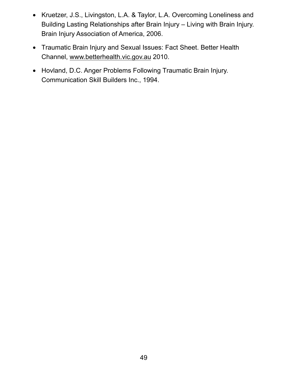- Kruetzer, J.S., Livingston, L.A. & Taylor, L.A. Overcoming Loneliness and Building Lasting Relationships after Brain Injury – Living with Brain Injury. Brain Injury Association of America, 2006.
- Traumatic Brain Injury and Sexual Issues: Fact Sheet. Better Health Channel[, www.betterhealth.vic.gov.au](www.betterhealth.vic.gov.au) 2010.
- Hovland, D.C. Anger Problems Following Traumatic Brain Injury. Communication Skill Builders Inc., 1994.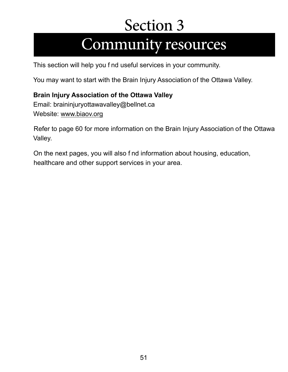# Section 3 Community resources

This section will help you f nd useful services in your community.

You may want to start with the Brain Injury Association of the Ottawa Valley.

#### **Brain Injury Association of the Ottawa Valley**

Email: [braininjuryottawavalley@bellnet.ca](mailto:braininjuryottawavalley@bellnet.ca) Website:<www.biaov.org>

Refer to page 60 for more information on the Brain Injury Association of the Ottawa Valley.

On the next pages, you will also f nd information about housing, education, healthcare and other support services in your area.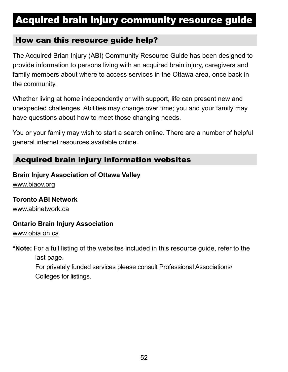# Acquired brain injury community resource guide

#### How can this resource guide help?

The Acquired Brian Injury (ABI) Community Resource Guide has been designed to provide information to persons living with an acquired brain injury, caregivers and family members about where to access services in the Ottawa area, once back in the community.

Whether living at home independently or with support, life can present new and unexpected challenges. Abilities may change over time; you and your family may have questions about how to meet those changing needs.

You or your family may wish to start a search online. There are a number of helpful general internet resources available online.

#### Acquired brain injury information websites

#### **Brain Injury Association of Ottawa Valley**

<www.biaov.org>

#### **Toronto ABI Network**

<www.abinetwork.ca>

#### **Ontario Brain Injury Association**

<www.obia.on.ca>

**\*Note:** For a full listing of the websites included in this resource guide, refer to the last page. For privately funded services please consult Professional Associations/ Colleges for listings.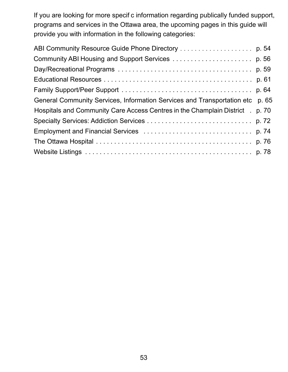If you are looking for more specif c information regarding publically funded support, programs and services in the Ottawa area, the upcoming pages in this guide will provide you with information in the following categories:

| General Community Services, Information Services and Transportation etc       | p. 65 |
|-------------------------------------------------------------------------------|-------|
| Hospitals and Community Care Access Centres in the Champlain District . p. 70 |       |
|                                                                               |       |
|                                                                               |       |
|                                                                               |       |
|                                                                               |       |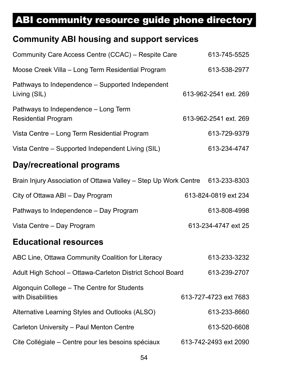## <span id="page-56-0"></span>ABI community resource guide phone directory

## **Community ABI housing and support services**

| Day/recreational programs                                          |                       |
|--------------------------------------------------------------------|-----------------------|
| Vista Centre - Supported Independent Living (SIL)                  | 613-234-4747          |
| Vista Centre – Long Term Residential Program                       | 613-729-9379          |
| Pathways to Independence – Long Term<br><b>Residential Program</b> | 613-962-2541 ext. 269 |
| Pathways to Independence – Supported Independent<br>Living (SIL)   | 613-962-2541 ext. 269 |
| Moose Creek Villa - Long Term Residential Program                  | 613-538-2977          |
| Community Care Access Centre (CCAC) - Respite Care                 | 613-745-5525          |

# Brain Injury Association of Ottawa Valley – Step Up Work Centre 613-233-8303 City of Ottawa ABI – Day Program 613-824-0819 ext 234 Pathways to Independence – Day Program 613-808-4998 Vista Centre – Day Program **613-234-4747** ext 25

## **Educational resources**

| ABC Line, Ottawa Community Coalition for Literacy                | 613-233-3232          |
|------------------------------------------------------------------|-----------------------|
| Adult High School - Ottawa-Carleton District School Board        | 613-239-2707          |
| Algonquin College – The Centre for Students<br>with Disabilities | 613-727-4723 ext 7683 |
| Alternative Learning Styles and Outlooks (ALSO)                  | 613-233-8660          |
| Carleton University - Paul Menton Centre                         | 613-520-6608          |
| Cite Collégiale – Centre pour les besoins spéciaux               | 613-742-2493 ext 2090 |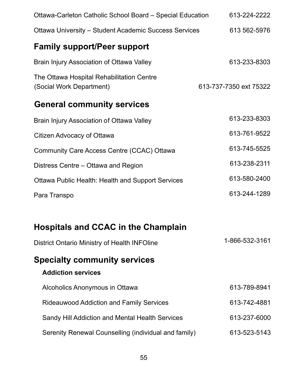| Ottawa-Carleton Catholic School Board – Special Education             | 613-224-2222           |
|-----------------------------------------------------------------------|------------------------|
| <b>Ottawa University – Student Academic Success Services</b>          | 613 562-5976           |
| <b>Family support/Peer support</b>                                    |                        |
| Brain Injury Association of Ottawa Valley                             | 613-233-8303           |
| The Ottawa Hospital Rehabilitation Centre<br>(Social Work Department) | 613-737-7350 ext 75322 |
| <b>General community services</b>                                     |                        |
| Brain Injury Association of Ottawa Valley                             | 613-233-8303           |
| Citizen Advocacy of Ottawa                                            | 613-761-9522           |
| Community Care Access Centre (CCAC) Ottawa                            | 613-745-5525           |
| Distress Centre – Ottawa and Region                                   | 613-238-2311           |
| Ottawa Public Health: Health and Support Services                     | 613-580-2400           |
| Para Transpo                                                          | 613-244-1289           |
|                                                                       |                        |
| <b>Hospitals and CCAC in the Champlain</b>                            |                        |
| <b>District Ontario Ministry of Health INFOline</b>                   | 1-866-532-3161         |
| <b>Specialty community services</b><br><b>Addiction services</b>      |                        |

| Alcoholics Anonymous in Ottawa                       | 613-789-8941 |
|------------------------------------------------------|--------------|
| <b>Rideauwood Addiction and Family Services</b>      | 613-742-4881 |
| Sandy Hill Addiction and Mental Health Services      | 613-237-6000 |
| Serenity Renewal Counselling (individual and family) | 613-523-5143 |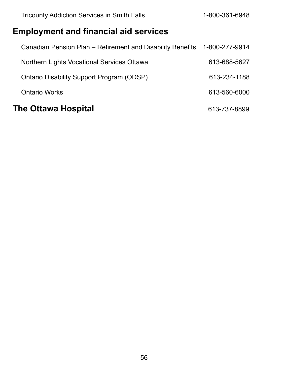| <b>Tricounty Addiction Services in Smith Falls</b>         | 1-800-361-6948 |
|------------------------------------------------------------|----------------|
| <b>Employment and financial aid services</b>               |                |
| Canadian Pension Plan – Retirement and Disability Benef ts | 1-800-277-9914 |
| Northern Lights Vocational Services Ottawa                 | 613-688-5627   |
| Ontario Disability Support Program (ODSP)                  | 613-234-1188   |
| <b>Ontario Works</b>                                       | 613-560-6000   |
| <b>The Ottawa Hospital</b>                                 | 613-737-8899   |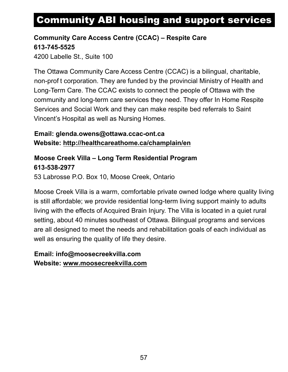# <span id="page-59-0"></span>Community ABI housing and support services

#### **Community Care Access Centre (CCAC) – Respite Care 613-745-5525**

4200 Labelle St., Suite 100

The Ottawa Community Care Access Centre (CCAC) is a bilingual, charitable, non-prof t corporation. They are funded by the provincial Ministry of Health and Long-Term Care. The CCAC exists to connect the people of Ottawa with the community and long-term care services they need. They offer In Home Respite Services and Social Work and they can make respite bed referrals to Saint Vincent's Hospital as well as Nursing Homes.

#### **Email: [glenda.owens@ottawa.ccac-ont.ca](mailto:glenda.owens@ottawa.ccac-ont.ca)  Website: <http://healthcareathome.ca/champlain/en>**

#### **Moose Creek Villa – Long Term Residential Program 613-538-2977**

53 Labrosse P.O. Box 10, Moose Creek, Ontario

Moose Creek Villa is a warm, comfortable private owned lodge where quality living is still affordable; we provide residential long-term living support mainly to adults living with the effects of Acquired Brain Injury. The Villa is located in a quiet rural setting, about 40 minutes southeast of Ottawa. Bilingual programs and services are all designed to meet the needs and rehabilitation goals of each individual as well as ensuring the quality of life they desire.

#### **Email: [info@moosecreekvilla.com](mailto:info@moosecreekvilla.com)  Website[: www.moosecreekvilla.com](www.moosecreekvilla.com)**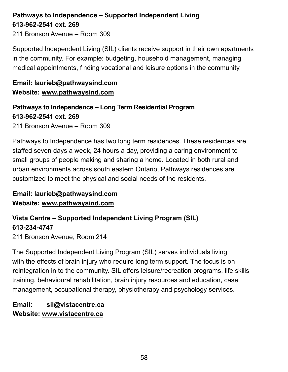#### **Pathways to Independence – Supported Independent Living 613-962-2541 ext. 269**

211 Bronson Avenue – Room 309

Supported Independent Living (SIL) clients receive support in their own apartments in the community. For example: budgeting, household management, managing medical appointments, f nding vocational and leisure options in the community.

#### **Email[: laurieb@pathwaysind.com](mailto:laurieb@pathwaysind.com)  Website[: www.pathwaysind.com](www.pathwaysind.com)**

**Pathways to Independence – Long Term Residential Program 613-962-2541 ext. 269**  211 Bronson Avenue – Room 309

Pathways to Independence has two long term residences. These residences are staffed seven days a week, 24 hours a day, providing a caring environment to small groups of people making and sharing a home. Located in both rural and urban environments across south eastern Ontario, Pathways residences are customized to meet the physical and social needs of the residents.

**Email[: laurieb@pathwaysind.com](mailto:laurieb@pathwaysind.com)  Website[: www.pathwaysind.com](www.pathwaysind.com)** 

#### **Vista Centre – Supported Independent Living Program (SIL) 613-234-4747**

211 Bronson Avenue, Room 214

The Supported Independent Living Program (SIL) serves individuals living with the effects of brain injury who require long term support. The focus is on reintegration in to the community. SIL offers leisure/recreation programs, life skills training, behavioural rehabilitation, brain injury resources and education, case management, occupational therapy, physiotherapy and psychology services.

**Email: [sil@vistacentre.ca](mailto:sil@vistacentre.ca)  Website[: www.vistacentre.ca](www.vistacentre.ca)**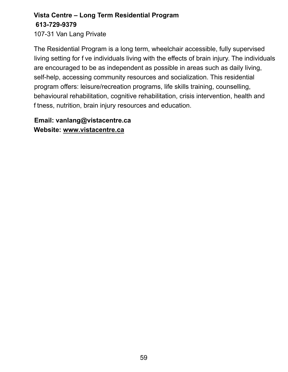## **Vista Centre – Long Term Residential Program 613-729-9379**

107-31 Van Lang Private

The Residential Program is a long term, wheelchair accessible, fully supervised living setting for f ve individuals living with the effects of brain injury. The individuals are encouraged to be as independent as possible in areas such as daily living, self-help, accessing community resources and socialization. This residential program offers: leisure/recreation programs, life skills training, counselling, behavioural rehabilitation, cognitive rehabilitation, crisis intervention, health and f tness, nutrition, brain injury resources and education.

**Email[: vanlang@vistacentre.ca](mailto:vanlang@vistacentre.ca)  Website:<www.vistacentre.ca>**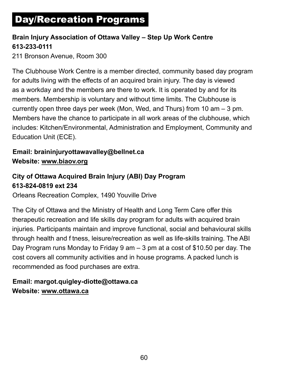# <span id="page-62-0"></span>Day/Recreation Programs

#### **Brain Injury Association of Ottawa Valley – Step Up Work Centre 613-233-0111**

211 Bronson Avenue, Room 300

The Clubhouse Work Centre is a member directed, community based day program for adults living with the effects of an acquired brain injury. The day is viewed as a workday and the members are there to work. It is operated by and for its members. Membership is voluntary and without time limits. The Clubhouse is currently open three days per week (Mon, Wed, and Thurs) from 10 am – 3 pm. Members have the chance to participate in all work areas of the clubhouse, which includes: Kitchen/Environmental, Administration and Employment, Community and Education Unit (ECE).

#### **Email: [braininjuryottawavalley@bellnet.ca](mailto:braininjuryottawavalley@bellnet.ca)  Website:<www.biaov.org>**

#### **City of Ottawa Acquired Brain Injury (ABI) Day Program 613-824-0819 ext 234**

Orleans Recreation Complex, 1490 Youville Drive

The City of Ottawa and the Ministry of Health and Long Term Care offer this therapeutic recreation and life skills day program for adults with acquired brain injuries. Participants maintain and improve functional, social and behavioural skills through health and f tness, leisure/recreation as well as life-skills training. The ABI Day Program runs Monday to Friday 9 am – 3 pm at a cost of \$10.50 per day. The cost covers all community activities and in house programs. A packed lunch is recommended as food purchases are extra.

#### **Email[: margot.quigley-diotte@ottawa.ca](mailto:margot.quigley-diotte@ottawa.ca)  Website[: www.ottawa.ca](www.ottawa.ca)**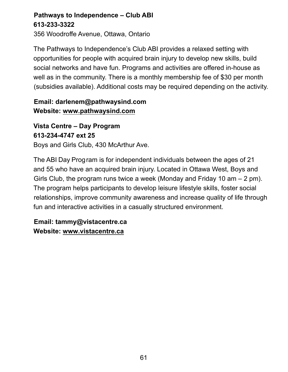#### **Pathways to Independence – Club ABI 613-233-3322**

356 Woodroffe Avenue, Ottawa, Ontario

The Pathways to Independence's Club ABI provides a relaxed setting with opportunities for people with acquired brain injury to develop new skills, build social networks and have fun. Programs and activities are offered in-house as well as in the community. There is a monthly membership fee of \$30 per month (subsidies available). Additional costs may be required depending on the activity.

#### **Email: [darlenem@pathwaysind.com](mailto:darlenem@pathwaysind.com)  Website:<www.pathwaysind.com>**

**Vista Centre – Day Program 613-234-4747 ext 25**  Boys and Girls Club, 430 McArthur Ave.

The ABI Day Program is for independent individuals between the ages of 21 and 55 who have an acquired brain injury. Located in Ottawa West, Boys and Girls Club, the program runs twice a week (Monday and Friday 10 am – 2 pm). The program helps participants to develop leisure lifestyle skills, foster social relationships, improve community awareness and increase quality of life through fun and interactive activities in a casually structured environment.

**Email: [tammy@vistacentre.ca](mailto:tammy@vistacentre.ca)  Website:<www.vistacentre.ca>**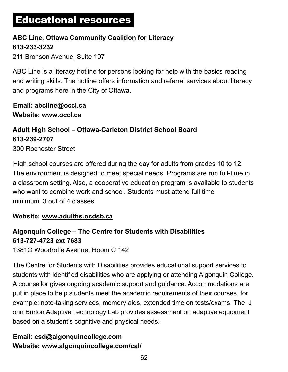# <span id="page-64-0"></span>Educational resources

#### **ABC Line, Ottawa Community Coalition for Literacy 613-233-3232**

211 Bronson Avenue, Suite 107

ABC Line is a literacy hotline for persons looking for help with the basics reading and writing skills. The hotline offers information and referral services about literacy and programs here in the City of Ottawa.

**Email: [abcline@occl.ca](mailto:abcline@occl.ca)  Website[: www.occl.ca](www.occl.ca)** 

#### **Adult High School – Ottawa-Carleton District School Board 613-239-2707** 300 Rochester Street

High school courses are offered during the day for adults from grades 10 to 12. The environment is designed to meet special needs. Programs are run full-time in a classroom setting. Also, a cooperative education program is available to students who want to combine work and school. Students must attend full time minimum 3 out of 4 classes.

#### **Website: www.adulths.ocdsb.ca**

## **Algonquin College – The Centre for Students with Disabilities 613-727-4723 ext 7683**

1381O Woodroffe Avenue, Room C 142

The Centre for Students with Disabilities provides educational support services to students with identif ed disabilities who are applying or attending Algonquin College. A counsellor gives ongoing academic support and guidance. Accommodations are put in place to help students meet the academic requirements of their courses, for example: note-taking services, memory aids, extended time on tests/exams. The J ohn Burton Adaptive Technology Lab provides assessment on adaptive equipment based on a student's cognitive and physical needs.

#### **Email: [csd@algonquincollege.com](mailto:csd@algonquincollege.com)  Website: <www.algonquincollege.com/cal/>**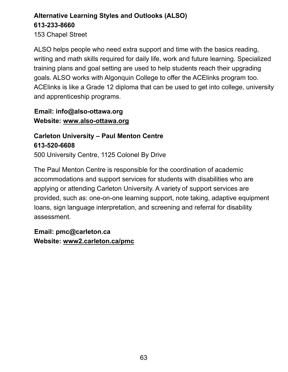## **Alternative Learning Styles and Outlooks (ALSO) 613-233-8660**

153 Chapel Street

ALSO helps people who need extra support and time with the basics reading, writing and math skills required for daily life, work and future learning. Specialized training plans and goal setting are used to help students reach their upgrading goals. ALSO works with Algonquin College to offer the ACElinks program too. ACElinks is like a Grade 12 diploma that can be used to get into college, university and apprenticeship programs.

**Email: [info@also-ottawa.org](mailto:info@also-ottawa.org)  Website: <www.also-ottawa.org>**

#### **Carleton University – Paul Menton Centre 613-520-6608**

500 University Centre, 1125 Colonel By Drive

The Paul Menton Centre is responsible for the coordination of academic accommodations and support services for students with disabilities who are applying or attending Carleton University. A variety of support services are provided, such as: one-on-one learning support, note taking, adaptive equipment loans, sign language interpretation, and screening and referral for disability assessment.

**Email: [pmc@carleton.ca](mailto:pmc@carleton.ca)  Website:<www2.carleton.ca/pmc>**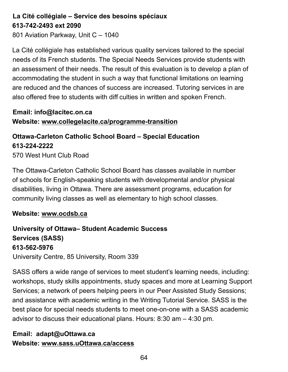#### **La Cité collégiale – Service des besoins spéciaux 613-742-2493 ext 2090**

801 Aviation Parkway, Unit C – 1040

La Cité collégiale has established various quality services tailored to the special needs of its French students. The Special Needs Services provide students with an assessment of their needs. The result of this evaluation is to develop a plan of accommodating the student in such a way that functional limitations on learning are reduced and the chances of success are increased. Tutoring services in are also offered free to students with diff culties in written and spoken French.

**Email: [info@lacitec.on.ca](mailto:info@lacitec.on.ca)  Website: <www.collegelacite.ca/programme-transition>**

#### **Ottawa-Carleton Catholic School Board – Special Education 613-224-2222** 570 West Hunt Club Road

The Ottawa-Carleton Catholic School Board has classes available in number of schools for English-speaking students with developmental and/or physical disabilities, living in Ottawa. There are assessment programs, education for community living classes as well as elementary to high school classes.

#### **Website: www.ocdsb.ca**

## **University of Ottawa– Student Academic Success Services (SASS) 613-562-5976**

University Centre, 85 University, Room 339

SASS offers a wide range of services to meet student's learning needs, including: workshops, study skills appointments, study spaces and more at Learning Support Services; a network of peers helping peers in our Peer Assisted Study Sessions; and assistance with academic writing in the Writing Tutorial Service. SASS is the best place for special needs students to meet one-on-one with a SASS academic advisor to discuss their educational plans. Hours: 8:30 am – 4:30 pm.

#### **Email: [adapt@uOttawa.ca](mailto:adapt@uOttawa.ca)  Website[: www.sass.uOttawa.ca/access](www.sass.uOttawa.ca/access)**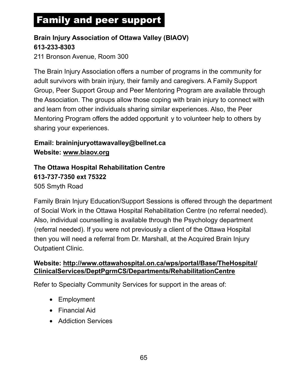# <span id="page-67-0"></span>Family and peer support

#### **Brain Injury Association of Ottawa Valley (BIAOV) 613-233-8303**

211 Bronson Avenue, Room 300

The Brain Injury Association offers a number of programs in the community for adult survivors with brain injury, their family and caregivers. A Family Support Group, Peer Support Group and Peer Mentoring Program are available through the Association. The groups allow those coping with brain injury to connect with and learn from other individuals sharing similar experiences. Also, the Peer Mentoring Program offers the added opportunit y to volunteer help to others by sharing your experiences.

#### **Email: [braininjuryottawavalley@bellnet.ca](mailto:braininjuryottawavalley@bellnet.ca)  Website:<www.biaov.org>**

**The Ottawa Hospital Rehabilitation Centre 613-737-7350 ext 75322**  505 Smyth Road

Family Brain Injury Education/Support Sessions is offered through the department of Social Work in the Ottawa Hospital Rehabilitation Centre (no referral needed). Also, individual counselling is available through the Psychology department (referral needed). If you were not previously a client of the Ottawa Hospital then you will need a referral from Dr. Marshall, at the Acquired Brain Injury Outpatient Clinic.

#### **Website: http://www.ottawahospital.on.ca/wps/portal/Base/TheHospital/ [ClinicalServices/DeptPgrmCS/Departments/RehabilitationCentre](http://www.ottawahospital.on.ca/en/clinical-services/deptpgrmcs/departments/rehabilitation-centre/)**

Refer to Specialty Community Services for support in the areas of:

- Employment
- Financial Aid
- Addiction Services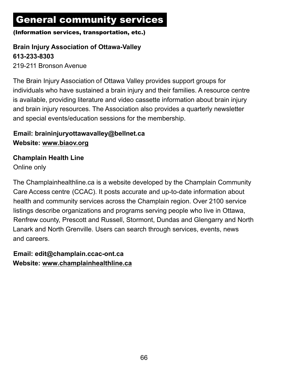# <span id="page-68-0"></span>General community services

#### (Information services, transportation, etc.)

#### **Brain Injury Association of Ottawa-Valley 613-233-8303**

219-211 Bronson Avenue

The Brain Injury Association of Ottawa Valley provides support groups for individuals who have sustained a brain injury and their families. A resource centre is available, providing literature and video cassette information about brain injury and brain injury resources. The Association also provides a quarterly newsletter and special events/education sessions for the membership.

#### **Email: [braininjuryottawavalley@bellnet.ca](mailto:braininjuryottawavalley@bellnet.ca)  Website:<www.biaov.org>**

#### **Champlain Health Line**

Online only

The Champlainhealthline.ca is a website developed by the Champlain Community Care Access centre (CCAC). It posts accurate and up-to-date information about health and community services across the Champlain region. Over 2100 service listings describe organizations and programs serving people who live in Ottawa, Renfrew county, Prescott and Russell, Stormont, Dundas and Glengarry and North Lanark and North Grenville. Users can search through services, events, news and careers.

**Email: [edit@champlain.ccac-ont.ca](mailto:edit@champlain.ccac-ont.ca)  Website:<www.champlainhealthline.ca>**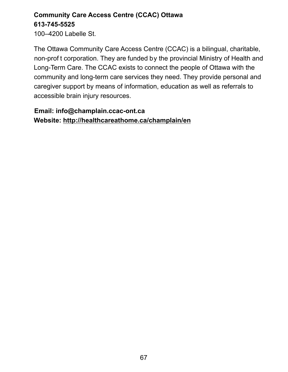## **Community Care Access Centre (CCAC) Ottawa 613-745-5525**

100–4200 Labelle St.

The Ottawa Community Care Access Centre (CCAC) is a bilingual, charitable, non-prof t corporation. They are funded by the provincial Ministry of Health and Long-Term Care. The CCAC exists to connect the people of Ottawa with the community and long-term care services they need. They provide personal and caregiver support by means of information, education as well as referrals to accessible brain injury resources.

#### **Email: [info@champlain.ccac-ont.ca](mailto:info@champlain.ccac-ont.ca)  Website: <http://healthcareathome.ca/champlain/en>**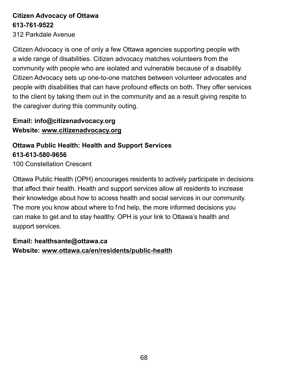## **Citizen Advocacy of Ottawa 613-761-9522**

312 Parkdale Avenue

Citizen Advocacy is one of only a few Ottawa agencies supporting people with a wide range of disabilities. Citizen advocacy matches volunteers from the community with people who are isolated and vulnerable because of a disability. Citizen Advocacy sets up one-to-one matches between volunteer advocates and people with disabilities that can have profound effects on both. They offer services to the client by taking them out in the community and as a result giving respite to the caregiver during this community outing.

#### **Email: [info@citizenadvocacy.org](mailto:info@citizenadvocacy.org)  Website:<www.citizenadvocacy.org>**

#### **Ottawa Public Health: Health and Support Services 613-613-580-9656**

100 Constellation Crescent

Ottawa Public Health (OPH) encourages residents to actively participate in decisions that affect their health. Health and support services allow all residents to increase their knowledge about how to access health and social services in our community. The more you know about where to fnd help, the more informed decisions you can make to get and to stay healthy. OPH is your link to Ottawa's health and support services.

#### **Email: [healthsante@ottawa.ca](mailto:healthsante@ottawa.ca)  Website: <www.ottawa.ca/en/residents/public-health>**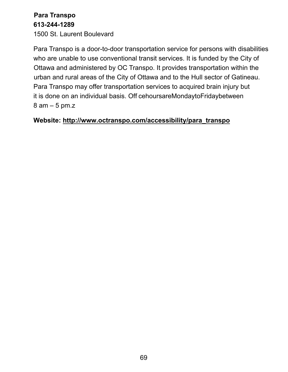#### **Para Transpo 613-244-1289**

1500 St. Laurent Boulevard

Para Transpo is a door-to-door transportation service for persons with disabilities who are unable to use conventional transit services. It is funded by the City of Ottawa and administered by OC Transpo. It provides transportation within the urban and rural areas of the City of Ottawa and to the Hull sector of Gatineau. Para Transpo may offer transportation services to acquired brain injury but it is done on an individual basis. Off cehours are Monday to Friday between 8 am – 5 pm.z

#### **Website: [http://www.octranspo.com/accessibility/para\\_transpo](http://www.octranspo.com/accessibility/para_transpo)**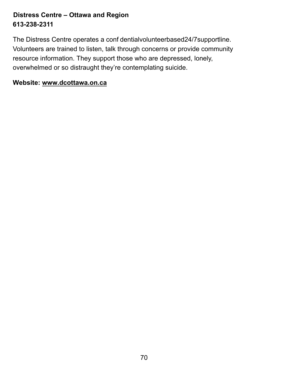#### **Distress Centre – Ottawa and Region 613-238-2311**

The Distress Centre operates a conf dential volunteer based 24/7 supportline. Volunteers are trained to listen, talk through concerns or provide community resource information. They support those who are depressed, lonely, overwhelmed or so distraught they're contemplating suicide.

#### **Website:<www.dcottawa.on.ca>**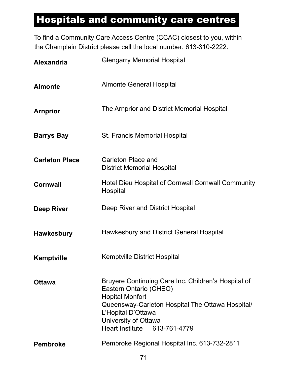## Hospitals and community care centres

To find a Community Care Access Centre (CCAC) closest to you, within the Champlain District please call the local number: 613-310-2222.

| <b>Alexandria</b>     | <b>Glengarry Memorial Hospital</b>                                                                                                                                                                                                        |  |  |  |  |
|-----------------------|-------------------------------------------------------------------------------------------------------------------------------------------------------------------------------------------------------------------------------------------|--|--|--|--|
| <b>Almonte</b>        | <b>Almonte General Hospital</b>                                                                                                                                                                                                           |  |  |  |  |
| <b>Arnprior</b>       | The Arnprior and District Memorial Hospital                                                                                                                                                                                               |  |  |  |  |
| <b>Barrys Bay</b>     | <b>St. Francis Memorial Hospital</b>                                                                                                                                                                                                      |  |  |  |  |
| <b>Carleton Place</b> | Carleton Place and<br><b>District Memorial Hospital</b>                                                                                                                                                                                   |  |  |  |  |
| <b>Cornwall</b>       | Hotel Dieu Hospital of Cornwall Cornwall Community<br>Hospital                                                                                                                                                                            |  |  |  |  |
| <b>Deep River</b>     | Deep River and District Hospital                                                                                                                                                                                                          |  |  |  |  |
| <b>Hawkesbury</b>     | Hawkesbury and District General Hospital                                                                                                                                                                                                  |  |  |  |  |
| <b>Kemptville</b>     | <b>Kemptville District Hospital</b>                                                                                                                                                                                                       |  |  |  |  |
| <b>Ottawa</b>         | Bruyere Continuing Care Inc. Children's Hospital of<br>Eastern Ontario (CHEO)<br><b>Hopital Monfort</b><br>Queensway-Carleton Hospital The Ottawa Hospital/<br>L'Hopital D'Ottawa<br>University of Ottawa<br>Heart Institute 613-761-4779 |  |  |  |  |
| <b>Pembroke</b>       | Pembroke Regional Hospital Inc. 613-732-2811                                                                                                                                                                                              |  |  |  |  |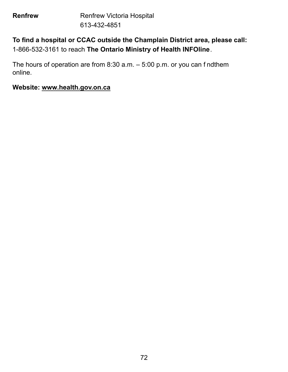**Renfrew Renfrew Victoria Hospital** 613-432-4851

#### **To find a hospital or CCAC outside the Champlain District area, please call:**  1-866-532-3161 to reach **The Ontario Ministry of Health INFOline**.

The hours of operation are from  $8:30$  a.m.  $-5:00$  p.m. or you can f nd them online.

#### **Website:<www.health.gov.on.ca>**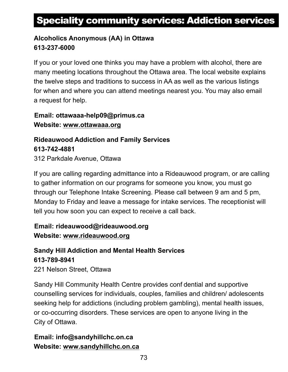## Speciality community services: Addiction services

#### **Alcoholics Anonymous (AA) in Ottawa 613-237-6000**

If you or your loved one thinks you may have a problem with alcohol, there are many meeting locations throughout the Ottawa area. The local website explains the twelve steps and traditions to success in AA as well as the various listings for when and where you can attend meetings nearest you. You may also email a request for help.

**Email: [ottawaaa-help09@primus.ca](mailto:ottawaaa-help09@primus.ca)  Website:<www.ottawaaa.org>**

**Rideauwood Addiction and Family Services 613-742-4881**  312 Parkdale Avenue, Ottawa

If you are calling regarding admittance into a Rideauwood program, or are calling to gather information on our programs for someone you know, you must go through our Telephone Intake Screening. Please call between 9 am and 5 pm, Monday to Friday and leave a message for intake services. The receptionist will tell you how soon you can expect to receive a call back.

#### **Email: [rideauwood@rideauwood.org](mailto:rideauwood@rideauwood.org)  Website:<www.rideauwood.org>**

**Sandy Hill Addiction and Mental Health Services 613-789-8941** 

221 Nelson Street, Ottawa

Sandy Hill Community Health Centre provides conf dential and supportive counselling services for individuals, couples, families and children/ adolescents seeking help for addictions (including problem gambling), mental health issues, or co-occurring disorders. These services are open to anyone living in the City of Ottawa.

#### **Email: [info@sandyhillchc.on.ca](mailto:info@sandyhillchc.on.ca)  Website: [www.sandyhillchc.on.ca](https://www.shchc.ca/)**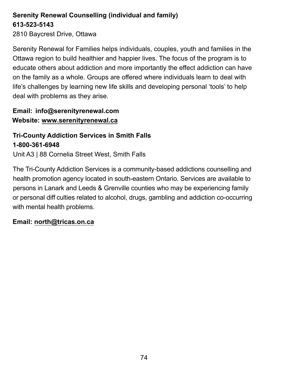#### **Serenity Renewal Counselling (individual and family) 613-523-5143**

2810 Baycrest Drive, Ottawa

Serenity Renewal for Families helps individuals, couples, youth and families in the Ottawa region to build healthier and happier lives. The focus of the program is to educate others about addiction and more importantly the effect addiction can have on the family as a whole. Groups are offered where individuals learn to deal with life's challenges by learning new life skills and developing personal 'tools' to help deal with problems as they arise.

#### **Email: [info@serenityrenewal.com](mailto:info@serenityrenewal.com)  Website:<www.serenityrenewal.ca>**

#### **Tri-County Addiction Services in Smith Falls 1-800-361-6948**

Unit A3 | 88 Cornelia Street West, Smith Falls

The Tri-County Addiction Services is a community-based addictions counselling and health promotion agency located in south-eastern Ontario. Services are available to persons in Lanark and Leeds & Grenville counties who may be experiencing family or personal diff culties related to alcohol, drugs, gambling and addiction co-occurring with mental health problems.

#### **Email: <north@tricas.on.ca>**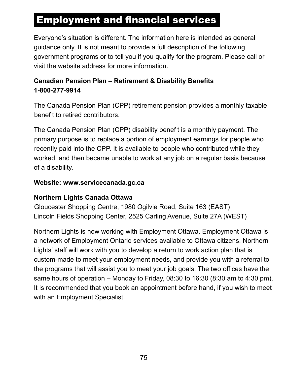## **Employment and financial services**

Everyone's situation is different. The information here is intended as general guidance only. It is not meant to provide a full description of the following government programs or to tell you if you qualify for the program. Please call or visit the website address for more information.

#### **Canadian Pension Plan – Retirement & Disability Benefits 1-800-277-9914**

The Canada Pension Plan (CPP) retirement pension provides a monthly taxable benef t to retired contributors.

The Canada Pension Plan (CPP) disability benef t is a monthly payment. The primary purpose is to replace a portion of employment earnings for people who recently paid into the CPP. It is available to people who contributed while they worked, and then became unable to work at any job on a regular basis because of a disability.

#### **Website:<www.servicecanada.gc.ca>**

#### **Northern Lights Canada Ottawa**

Gloucester Shopping Centre, 1980 Ogilvie Road, Suite 163 (EAST) Lincoln Fields Shopping Center, 2525 Carling Avenue, Suite 27A (WEST)

Northern Lights is now working with Employment Ottawa. Employment Ottawa is a network of Employment Ontario services available to Ottawa citizens. Northern Lights' staff will work with you to develop a return to work action plan that is custom-made to meet your employment needs, and provide you with a referral to the programs that will assist you to meet your job goals. The two off ces have the same hours of operation – Monday to Friday, 08:30 to 16:30 (8:30 am to 4:30 pm). It is recommended that you book an appointment before hand, if you wish to meet with an Employment Specialist.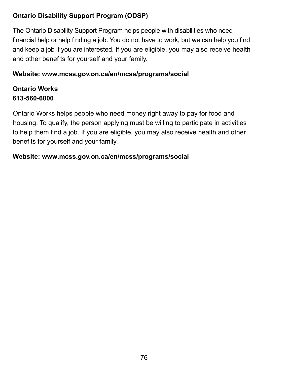#### **Ontario Disability Support Program (ODSP)**

The Ontario Disability Support Program helps people with disabilities who need f nancial help or help f nding a job. You do not have to work, but we can help you f nd and keep a job if you are interested. If you are eligible, you may also receive health and other benef ts for yourself and your family.

#### **Website:<www.mcss.gov.on.ca/en/mcss/programs/social>**

#### **Ontario Works 613-560-6000**

Ontario Works helps people who need money right away to pay for food and housing. To qualify, the person applying must be willing to participate in activities to help them f nd a job. If you are eligible, you may also receive health and other benef ts for yourself and your family.

#### **Website:<www.mcss.gov.on.ca/en/mcss/programs/social>**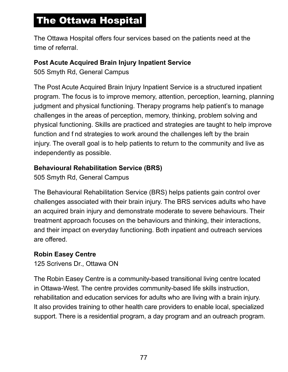# The Ottawa Hospital

The Ottawa Hospital offers four services based on the patients need at the time of referral.

#### **Post Acute Acquired Brain Injury Inpatient Service**

505 Smyth Rd, General Campus

The Post Acute Acquired Brain Injury Inpatient Service is a structured inpatient program. The focus is to improve memory, attention, perception, learning, planning judgment and physical functioning. Therapy programs help patient's to manage challenges in the areas of perception, memory, thinking, problem solving and physical functioning. Skills are practiced and strategies are taught to help improve function and f nd strategies to work around the challenges left by the brain injury. The overall goal is to help patients to return to the community and live as independently as possible.

#### **Behavioural Rehabilitation Service (BRS)**

505 Smyth Rd, General Campus

The Behavioural Rehabilitation Service (BRS) helps patients gain control over challenges associated with their brain injury. The BRS services adults who have an acquired brain injury and demonstrate moderate to severe behaviours. Their treatment approach focuses on the behaviours and thinking, their interactions, and their impact on everyday functioning. Both inpatient and outreach services are offered.

#### **Robin Easey Centre**

125 Scrivens Dr., Ottawa ON

The Robin Easey Centre is a community-based transitional living centre located in Ottawa-West. The centre provides community-based life skills instruction, rehabilitation and education services for adults who are living with a brain injury. It also provides training to other health care providers to enable local, specialized support. There is a residential program, a day program and an outreach program.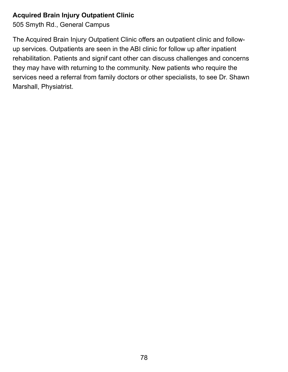#### **Acquired Brain Injury Outpatient Clinic**

505 Smyth Rd., General Campus

The Acquired Brain Injury Outpatient Clinic offers an outpatient clinic and followup services. Outpatients are seen in the ABI clinic for follow up after inpatient rehabilitation. Patients and signif cant other can discuss challenges and concerns they may have with returning to the community. New patients who require the services need a referral from family doctors or other specialists, to see Dr. Shawn Marshall, Physiatrist.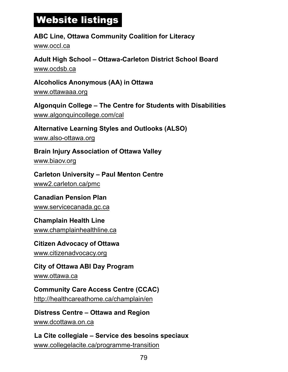# Website listings

#### **ABC Line, Ottawa Community Coalition for Literacy**  <www.occl.ca>

**Adult High School – Ottawa-Carleton District School Board**  <www.ocdsb.ca>

**Alcoholics Anonymous (AA) in Ottawa**  <www.ottawaaa.org>

**Algonquin College – The Centre for Students with Disabilities**  <www.algonquincollege.com/cal>

#### **Alternative Learning Styles and Outlooks (ALSO)**

<www.also-ottawa.org>

**Brain Injury Association of Ottawa Valley** 

<www.biaov.org>

**Carleton University – Paul Menton Centre**  <www2.carleton.ca/pmc>

#### **Canadian Pension Plan**

<www.servicecanada.gc.ca>

#### **Champlain Health Line**

<www.champlainhealthline.ca>

# **Citizen Advocacy of Ottawa**

<www.citizenadvocacy.org>

#### **City of Ottawa ABI Day Program**

<www.ottawa.ca>

### **Community Care Access Centre (CCAC)**

<http://healthcareathome.ca/champlain/en>

#### **Distress Centre – Ottawa and Region**

<www.dcottawa.on.ca>

#### **La Cite collegiale – Service des besoins speciaux**  <www.collegelacite.ca/programme-transition>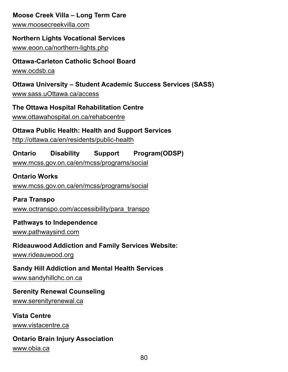#### **Moose Creek Villa – Long Term Care**

<www.moosecreekvilla.com>

#### **Northern Lights Vocational Services**

<www.eoon.ca/northern-lights.php>

#### **Ottawa-Carleton Catholic School Board**

<www.ocdsb.ca>

#### **Ottawa University – Student Academic Success Services (SASS)**

<www.sass.uOttawa.ca/access>

#### **The Ottawa Hospital Rehabilitation Centre**

[www.ottawahospital.on.ca/rehabcentre](http://www.ottawahospital.on.ca/en/clinical-services/deptpgrmcs/departments/rehabilitation-centre/)

#### **Ottawa Public Health: Health and Support Services**

<http://ottawa.ca/en/residents/public-health>

#### **Ontario Disability Support Program(ODSP)**

<www.mcss.gov.on.ca/en/mcss/programs/social>

#### **Ontario Works**

<www.mcss.gov.on.ca/en/mcss/programs/social>

#### **Para Transpo**

[www.octranspo.com/accessibility/para\\_transpo](www.octranspo.com/accessibility/para_transpo)

#### **Pathways to Independence**

<www.pathwaysind.com>

#### **Rideauwood Addiction and Family Services Website:**

<www.rideauwood.org>

#### **Sandy Hill Addiction and Mental Health Services**

[www.sandyhillchc.on.ca](https://www.shchc.ca/)

#### **Serenity Renewal Counseling**

<www.serenityrenewal.ca>

#### **Vista Centre**

<www.vistacentre.ca>

#### **Ontario Brain Injury Association**

<www.obia.ca>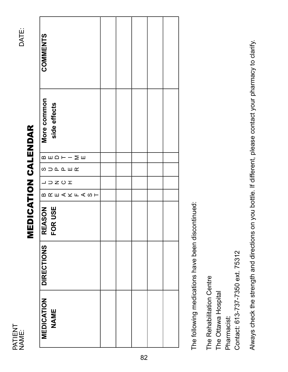NAME:<br>DATE: PATIENT<br>NAME: PATIENT

# **MEDICATION CALENDAR** MEDICATION CALENDAR

| <b>COMMENTS</b>                                                         |  |  |  |
|-------------------------------------------------------------------------|--|--|--|
| More common<br>side effects                                             |  |  |  |
| $\mathsf{m} \mathsf{m} \mathsf{m} \mathsf{m} \mathsf{m}$                |  |  |  |
| <b>SUDREWA</b>                                                          |  |  |  |
| $\sqcup \hspace*{0.1cm}\supset Z\hspace*{0.1cm}\cup\hspace*{0.1cm}\top$ |  |  |  |
| <b>BREAKFASH</b>                                                        |  |  |  |
| <b>REASON<br/>FOR USE</b>                                               |  |  |  |
| <b>DIRECTIONS</b>                                                       |  |  |  |
| <b>MEDICATION</b><br>NAME                                               |  |  |  |

The following medications have been discontinued: The following medications have been discontinued:

The Rehabilitation Centre The Rehabilitation Centre

The Ottawa Hospital The Ottawa Hospital

Pharmacist: Pharmacist:

Contact: 613-737-7350 ext. 75312 Contact: 613-737-7350 ext. 75312

Always check the strength and directions on you bottle. If different, please contact your pharmacy to clarify. Always check the strength and directions on you bottle. If different, please contact your pharmacy to clarify.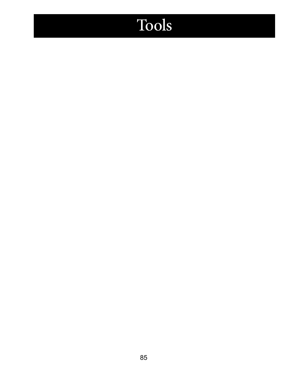# Tools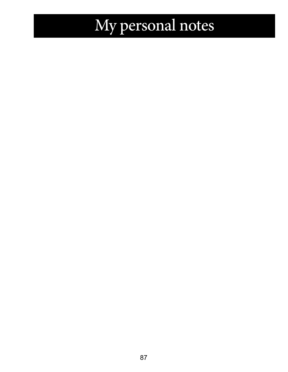# My personal notes